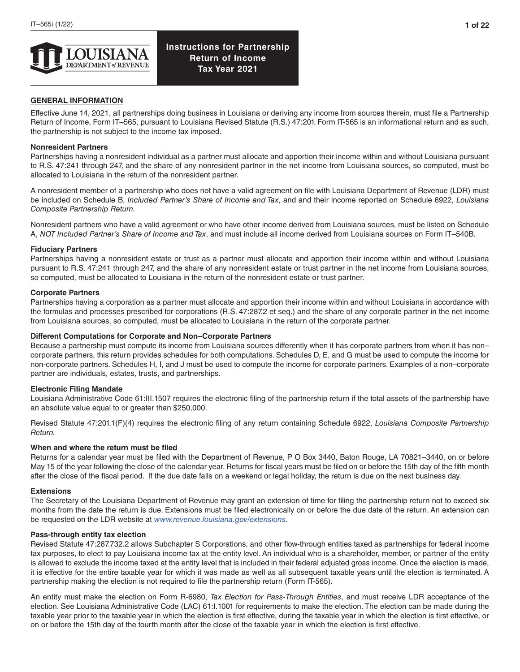

## **GENERAL INFORMATION**

Effective June 14, 2021, all partnerships doing business in Louisiana or deriving any income from sources therein, must file a Partnership Return of Income, Form IT–565, pursuant to Louisiana Revised Statute (R.S.) 47:201. Form IT-565 is an informational return and as such, the partnership is not subject to the income tax imposed.

## **Nonresident Partners**

Partnerships having a nonresident individual as a partner must allocate and apportion their income within and without Louisiana pursuant to R.S. 47:241 through 247, and the share of any nonresident partner in the net income from Louisiana sources, so computed, must be allocated to Louisiana in the return of the nonresident partner.

A nonresident member of a partnership who does not have a valid agreement on file with Louisiana Department of Revenue (LDR) must be included on Schedule B, *Included Partner's Share of Income and Tax*, and and their income reported on Schedule 6922, *Louisiana Composite Partnership Return.*

Nonresident partners who have a valid agreement or who have other income derived from Louisiana sources, must be listed on Schedule A, *NOT Included Partner's Share of Income and Tax*, and must include all income derived from Louisiana sources on Form IT–540B.

### **Fiduciary Partners**

Partnerships having a nonresident estate or trust as a partner must allocate and apportion their income within and without Louisiana pursuant to R.S. 47:241 through 247, and the share of any nonresident estate or trust partner in the net income from Louisiana sources, so computed, must be allocated to Louisiana in the return of the nonresident estate or trust partner.

### **Corporate Partners**

Partnerships having a corporation as a partner must allocate and apportion their income within and without Louisiana in accordance with the formulas and processes prescribed for corporations (R.S. 47:287.2 et seq.) and the share of any corporate partner in the net income from Louisiana sources, so computed, must be allocated to Louisiana in the return of the corporate partner.

### **Different Computations for Corporate and Non–Corporate Partners**

Because a partnership must compute its income from Louisiana sources differently when it has corporate partners from when it has non– corporate partners, this return provides schedules for both computations. Schedules D, E, and G must be used to compute the income for non-corporate partners. Schedules H, I, and J must be used to compute the income for corporate partners. Examples of a non–corporate partner are individuals, estates, trusts, and partnerships.

### **Electronic Filing Mandate**

Louisiana Administrative Code 61:III.1507 requires the electronic filing of the partnership return if the total assets of the partnership have an absolute value equal to or greater than \$250,000.

Revised Statute 47:201.1(F)(4) requires the electronic filing of any return containing Schedule 6922, *Louisiana Composite Partnership Return.*

### **When and where the return must be filed**

Returns for a calendar year must be filed with the Department of Revenue, P O Box 3440, Baton Rouge, LA 70821–3440, on or before May 15 of the year following the close of the calendar year. Returns for fiscal years must be filed on or before the 15th day of the fifth month after the close of the fiscal period. If the due date falls on a weekend or legal holiday, the return is due on the next business day.

### **Extensions**

The Secretary of the Louisiana Department of Revenue may grant an extension of time for filing the partnership return not to exceed six months from the date the return is due. Extensions must be filed electronically on or before the due date of the return. An extension can be requested on the LDR website at *[www.revenue.louisiana.gov/extensions](http://www.revenue.louisiana.gov/extensions)*.

### **Pass-through entity tax election**

Revised Statute 47:287.732.2 allows Subchapter S Corporations, and other flow-through entities taxed as partnerships for federal income tax purposes, to elect to pay Louisiana income tax at the entity level. An individual who is a shareholder, member, or partner of the entity is allowed to exclude the income taxed at the entity level that is included in their federal adjusted gross income. Once the election is made, it is effective for the entire taxable year for which it was made as well as all subsequent taxable years until the election is terminated. A partnership making the election is not required to file the partnership return (Form IT-565).

An entity must make the election on Form R-6980, *Tax Election for Pass-Through Entities*, and must receive LDR acceptance of the election. See Louisiana Administrative Code (LAC) 61:I.1001 for requirements to make the election. The election can be made during the taxable year prior to the taxable year in which the election is first effective, during the taxable year in which the election is first effective, or on or before the 15th day of the fourth month after the close of the taxable year in which the election is first effective.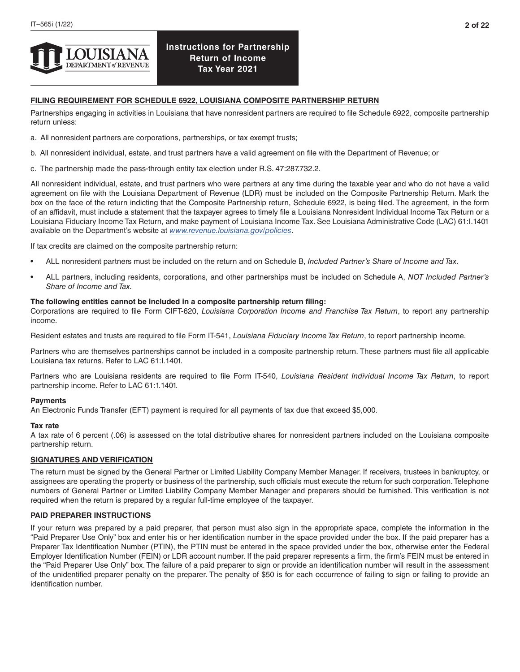

## **FILING REQUIREMENT FOR SCHEDULE 6922, LOUISIANA COMPOSITE PARTNERSHIP RETURN**

Partnerships engaging in activities in Louisiana that have nonresident partners are required to file Schedule 6922, composite partnership return unless:

- a. All nonresident partners are corporations, partnerships, or tax exempt trusts;
- b. All nonresident individual, estate, and trust partners have a valid agreement on file with the Department of Revenue; or
- c. The partnership made the pass-through entity tax election under R.S. 47:287.732.2.

All nonresident individual, estate, and trust partners who were partners at any time during the taxable year and who do not have a valid agreement on file with the Louisiana Department of Revenue (LDR) must be included on the Composite Partnership Return. Mark the box on the face of the return indicting that the Composite Partnership return, Schedule 6922, is being filed. The agreement, in the form of an affidavit, must include a statement that the taxpayer agrees to timely file a Louisiana Nonresident Individual Income Tax Return or a Louisiana Fiduciary Income Tax Return, and make payment of Louisiana Income Tax. See Louisiana Administrative Code (LAC) 61:I.1401 available on the Department's website at *[www.revenue.louisiana.gov/policies](http://www.revenue.louisiana.gov/policies)*.

If tax credits are claimed on the composite partnership return:

- ALL nonresident partners must be included on the return and on Schedule B, *Included Partner's Share of Income and Tax*.
- ALL partners, including residents, corporations, and other partnerships must be included on Schedule A, *NOT Included Partner's Share of Income and Tax.*

### **The following entities cannot be included in a composite partnership return filing:**

Corporations are required to file Form CIFT-620, *Louisiana Corporation Income and Franchise Tax Return*, to report any partnership income.

Resident estates and trusts are required to file Form IT-541, *Louisiana Fiduciary Income Tax Return*, to report partnership income.

Partners who are themselves partnerships cannot be included in a composite partnership return. These partners must file all applicable Louisiana tax returns. Refer to LAC 61:I.1401.

Partners who are Louisiana residents are required to file Form IT-540, *Louisiana Resident Individual Income Tax Return*, to report partnership income. Refer to LAC 61:1.1401.

### **Payments**

An Electronic Funds Transfer (EFT) payment is required for all payments of tax due that exceed \$5,000.

### **Tax rate**

A tax rate of 6 percent (.06) is assessed on the total distributive shares for nonresident partners included on the Louisiana composite partnership return.

## **SIGNATURES AND VERIFICATION**

The return must be signed by the General Partner or Limited Liability Company Member Manager. If receivers, trustees in bankruptcy, or assignees are operating the property or business of the partnership, such officials must execute the return for such corporation. Telephone numbers of General Partner or Limited Liability Company Member Manager and preparers should be furnished. This verification is not required when the return is prepared by a regular full-time employee of the taxpayer.

### **PAID PREPARER INSTRUCTIONS**

If your return was prepared by a paid preparer, that person must also sign in the appropriate space, complete the information in the "Paid Preparer Use Only" box and enter his or her identification number in the space provided under the box. If the paid preparer has a Preparer Tax Identification Number (PTIN), the PTIN must be entered in the space provided under the box, otherwise enter the Federal Employer Identification Number (FEIN) or LDR account number. If the paid preparer represents a firm, the firm's FEIN must be entered in the "Paid Preparer Use Only" box. The failure of a paid preparer to sign or provide an identification number will result in the assessment of the unidentified preparer penalty on the preparer. The penalty of \$50 is for each occurrence of failing to sign or failing to provide an identification number.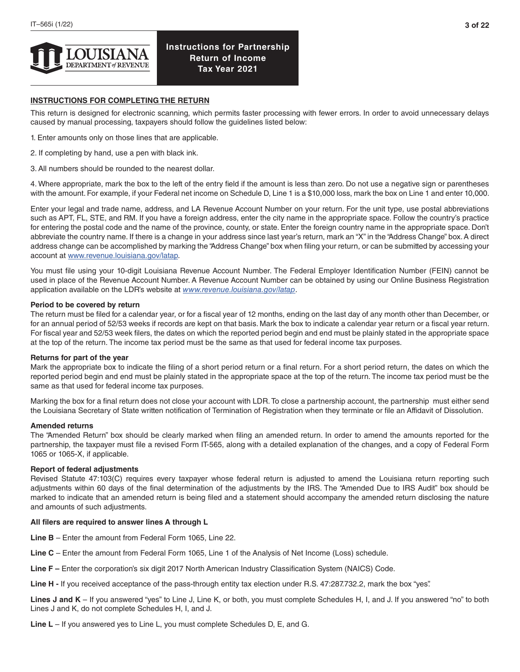

## **INSTRUCTIONS FOR COMPLETING THE RETURN**

This return is designed for electronic scanning, which permits faster processing with fewer errors. In order to avoid unnecessary delays caused by manual processing, taxpayers should follow the guidelines listed below:

- 1. Enter amounts only on those lines that are applicable.
- 2. If completing by hand, use a pen with black ink.
- 3. All numbers should be rounded to the nearest dollar.

4. Where appropriate, mark the box to the left of the entry field if the amount is less than zero. Do not use a negative sign or parentheses with the amount. For example, if your Federal net income on Schedule D, Line 1 is a \$10,000 loss, mark the box on Line 1 and enter 10,000.

Enter your legal and trade name, address, and LA Revenue Account Number on your return. For the unit type, use postal abbreviations such as APT, FL, STE, and RM. If you have a foreign address, enter the city name in the appropriate space. Follow the country's practice for entering the postal code and the name of the province, county, or state. Enter the foreign country name in the appropriate space. Don't abbreviate the country name. If there is a change in your address since last year's return, mark an "X" in the "Address Change" box. A direct address change can be accomplished by marking the "Address Change" box when filing your return, or can be submitted by accessing your account at [www.revenue.louisiana.gov/latap.](http://www.revenue.louisiana.gov/latap)

You must file using your 10-digit Louisiana Revenue Account Number. The Federal Employer Identification Number (FEIN) cannot be used in place of the Revenue Account Number. A Revenue Account Number can be obtained by using our Online Business Registration application available on the LDR's website at *[www.revenue.louisiana.gov/latap](http://www.revenue.louisiana.gov/latap)*.

### **Period to be covered by return**

The return must be filed for a calendar year, or for a fiscal year of 12 months, ending on the last day of any month other than December, or for an annual period of 52/53 weeks if records are kept on that basis. Mark the box to indicate a calendar year return or a fiscal year return. For fiscal year and 52/53 week filers, the dates on which the reported period begin and end must be plainly stated in the appropriate space at the top of the return. The income tax period must be the same as that used for federal income tax purposes.

### **Returns for part of the year**

Mark the appropriate box to indicate the filing of a short period return or a final return. For a short period return, the dates on which the reported period begin and end must be plainly stated in the appropriate space at the top of the return. The income tax period must be the same as that used for federal income tax purposes.

Marking the box for a final return does not close your account with LDR. To close a partnership account, the partnership must either send the Louisiana Secretary of State written notification of Termination of Registration when they terminate or file an Affidavit of Dissolution.

### **Amended returns**

The "Amended Return" box should be clearly marked when filing an amended return. In order to amend the amounts reported for the partnership, the taxpayer must file a revised Form IT-565, along with a detailed explanation of the changes, and a copy of Federal Form 1065 or 1065-X, if applicable.

### **Report of federal adjustments**

Revised Statute 47:103(C) requires every taxpayer whose federal return is adjusted to amend the Louisiana return reporting such adjustments within 60 days of the final determination of the adjustments by the IRS. The "Amended Due to IRS Audit" box should be marked to indicate that an amended return is being filed and a statement should accompany the amended return disclosing the nature and amounts of such adjustments.

### **All filers are required to answer lines A through L**

**Line B** – Enter the amount from Federal Form 1065, Line 22.

- **Line C** Enter the amount from Federal Form 1065, Line 1 of the Analysis of Net Income (Loss) schedule.
- **Line F** Enter the corporation's six digit 2017 North American Industry Classification System (NAICS) Code.

**Line H -** If you received acceptance of the pass-through entity tax election under R.S. 47:287.732.2, mark the box "yes".

**Lines J and K** – If you answered "yes" to Line J, Line K, or both, you must complete Schedules H, I, and J. If you answered "no" to both Lines J and K, do not complete Schedules H, I, and J.

**Line L** – If you answered yes to Line L, you must complete Schedules D, E, and G.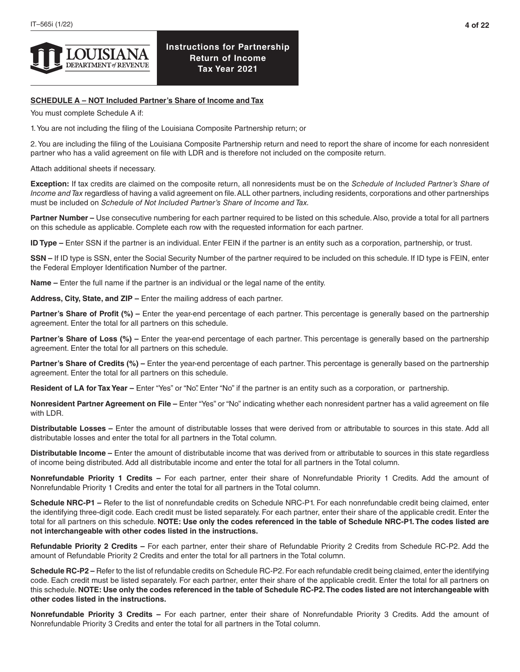

# **SCHEDULE A – NOT Included Partner's Share of Income and Tax**

You must complete Schedule A if:

1. You are not including the filing of the Louisiana Composite Partnership return; or

2. You are including the filing of the Louisiana Composite Partnership return and need to report the share of income for each nonresident partner who has a valid agreement on file with LDR and is therefore not included on the composite return.

Attach additional sheets if necessary.

**Exception:** If tax credits are claimed on the composite return, all nonresidents must be on the *Schedule of Included Partner's Share of Income and Tax* regardless of having a valid agreement on file. ALL other partners, including residents, corporations and other partnerships must be included on *Schedule of Not Included Partner's Share of Income and Tax.*

**Partner Number –** Use consecutive numbering for each partner required to be listed on this schedule. Also, provide a total for all partners on this schedule as applicable. Complete each row with the requested information for each partner.

**ID Type –** Enter SSN if the partner is an individual. Enter FEIN if the partner is an entity such as a corporation, partnership, or trust.

**SSN –** If ID type is SSN, enter the Social Security Number of the partner required to be included on this schedule. If ID type is FEIN, enter the Federal Employer Identification Number of the partner.

**Name –** Enter the full name if the partner is an individual or the legal name of the entity.

**Address, City, State, and ZIP –** Enter the mailing address of each partner.

**Partner's Share of Profit (%) –** Enter the year-end percentage of each partner. This percentage is generally based on the partnership agreement. Enter the total for all partners on this schedule.

**Partner's Share of Loss (%) –** Enter the year-end percentage of each partner. This percentage is generally based on the partnership agreement. Enter the total for all partners on this schedule.

Partner's Share of Credits (%) – Enter the year-end percentage of each partner. This percentage is generally based on the partnership agreement. Enter the total for all partners on this schedule.

Resident of LA for Tax Year – Enter "Yes" or "No". Enter "No" if the partner is an entity such as a corporation, or partnership.

**Nonresident Partner Agreement on File –** Enter "Yes" or "No" indicating whether each nonresident partner has a valid agreement on file with LDR.

**Distributable Losses –** Enter the amount of distributable losses that were derived from or attributable to sources in this state. Add all distributable losses and enter the total for all partners in the Total column.

**Distributable Income –** Enter the amount of distributable income that was derived from or attributable to sources in this state regardless of income being distributed. Add all distributable income and enter the total for all partners in the Total column.

**Nonrefundable Priority 1 Credits –** For each partner, enter their share of Nonrefundable Priority 1 Credits. Add the amount of Nonrefundable Priority 1 Credits and enter the total for all partners in the Total column.

**Schedule NRC-P1 –** Refer to the list of nonrefundable credits on Schedule NRC-P1. For each nonrefundable credit being claimed, enter the identifying three-digit code. Each credit must be listed separately. For each partner, enter their share of the applicable credit. Enter the total for all partners on this schedule. **NOTE: Use only the codes referenced in the table of Schedule NRC-P1. The codes listed are not interchangeable with other codes listed in the instructions.** 

**Refundable Priority 2 Credits –** For each partner, enter their share of Refundable Priority 2 Credits from Schedule RC-P2. Add the amount of Refundable Priority 2 Credits and enter the total for all partners in the Total column.

**Schedule RC-P2 –** Refer to the list of refundable credits on Schedule RC-P2. For each refundable credit being claimed, enter the identifying code. Each credit must be listed separately. For each partner, enter their share of the applicable credit. Enter the total for all partners on this schedule. **NOTE: Use only the codes referenced in the table of Schedule RC-P2. The codes listed are not interchangeable with other codes listed in the instructions.** 

**Nonrefundable Priority 3 Credits –** For each partner, enter their share of Nonrefundable Priority 3 Credits. Add the amount of Nonrefundable Priority 3 Credits and enter the total for all partners in the Total column.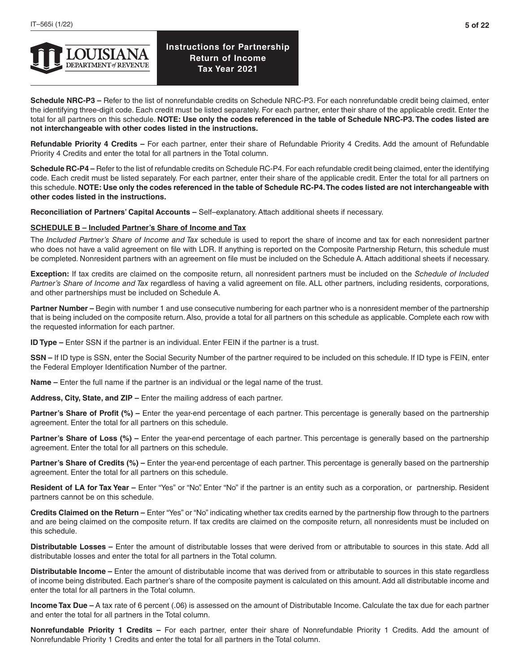

**Schedule NRC-P3 –** Refer to the list of nonrefundable credits on Schedule NRC-P3. For each nonrefundable credit being claimed, enter the identifying three-digit code. Each credit must be listed separately. For each partner, enter their share of the applicable credit. Enter the total for all partners on this schedule. **NOTE: Use only the codes referenced in the table of Schedule NRC-P3. The codes listed are not interchangeable with other codes listed in the instructions.**

**Refundable Priority 4 Credits –** For each partner, enter their share of Refundable Priority 4 Credits. Add the amount of Refundable Priority 4 Credits and enter the total for all partners in the Total column.

**Schedule RC-P4 –** Refer to the list of refundable credits on Schedule RC-P4. For each refundable credit being claimed, enter the identifying code. Each credit must be listed separately. For each partner, enter their share of the applicable credit. Enter the total for all partners on this schedule. **NOTE: Use only the codes referenced in the table of Schedule RC-P4. The codes listed are not interchangeable with other codes listed in the instructions.**

**Reconciliation of Partners' Capital Accounts –** Self–explanatory. Attach additional sheets if necessary.

## **SCHEDULE B – Included Partner's Share of Income and Tax**

The *Included Partner's Share of Income and Tax* schedule is used to report the share of income and tax for each nonresident partner who does not have a valid agreement on file with LDR. If anything is reported on the Composite Partnership Return, this schedule must be completed. Nonresident partners with an agreement on file must be included on the Schedule A. Attach additional sheets if necessary.

**Exception:** If tax credits are claimed on the composite return, all nonresident partners must be included on the *Schedule of Included Partner's Share of Income and Tax* regardless of having a valid agreement on file. ALL other partners, including residents, corporations, and other partnerships must be included on Schedule A.

**Partner Number –** Begin with number 1 and use consecutive numbering for each partner who is a nonresident member of the partnership that is being included on the composite return. Also, provide a total for all partners on this schedule as applicable. Complete each row with the requested information for each partner.

**ID Type –** Enter SSN if the partner is an individual. Enter FEIN if the partner is a trust.

**SSN –** If ID type is SSN, enter the Social Security Number of the partner required to be included on this schedule. If ID type is FEIN, enter the Federal Employer Identification Number of the partner.

**Name –** Enter the full name if the partner is an individual or the legal name of the trust.

**Address, City, State, and ZIP –** Enter the mailing address of each partner.

**Partner's Share of Profit (%) –** Enter the year-end percentage of each partner. This percentage is generally based on the partnership agreement. Enter the total for all partners on this schedule.

**Partner's Share of Loss (%)** – Enter the year-end percentage of each partner. This percentage is generally based on the partnership agreement. Enter the total for all partners on this schedule.

**Partner's Share of Credits (%)** – Enter the year-end percentage of each partner. This percentage is generally based on the partnership agreement. Enter the total for all partners on this schedule.

**Resident of LA for Tax Year –** Enter "Yes" or "No". Enter "No" if the partner is an entity such as a corporation, or partnership. Resident partners cannot be on this schedule.

**Credits Claimed on the Return –** Enter "Yes" or "No" indicating whether tax credits earned by the partnership flow through to the partners and are being claimed on the composite return. If tax credits are claimed on the composite return, all nonresidents must be included on this schedule.

**Distributable Losses –** Enter the amount of distributable losses that were derived from or attributable to sources in this state. Add all distributable losses and enter the total for all partners in the Total column.

**Distributable Income –** Enter the amount of distributable income that was derived from or attributable to sources in this state regardless of income being distributed. Each partner's share of the composite payment is calculated on this amount. Add all distributable income and enter the total for all partners in the Total column.

**Income Tax Due –** A tax rate of 6 percent (.06) is assessed on the amount of Distributable Income. Calculate the tax due for each partner and enter the total for all partners in the Total column.

**Nonrefundable Priority 1 Credits –** For each partner, enter their share of Nonrefundable Priority 1 Credits. Add the amount of Nonrefundable Priority 1 Credits and enter the total for all partners in the Total column.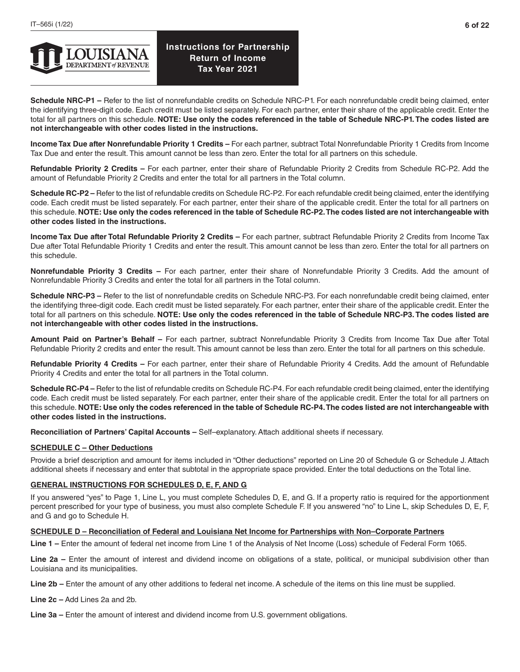

**Schedule NRC-P1 –** Refer to the list of nonrefundable credits on Schedule NRC-P1. For each nonrefundable credit being claimed, enter the identifying three-digit code. Each credit must be listed separately. For each partner, enter their share of the applicable credit. Enter the total for all partners on this schedule. **NOTE: Use only the codes referenced in the table of Schedule NRC-P1. The codes listed are not interchangeable with other codes listed in the instructions.** 

**Income Tax Due after Nonrefundable Priority 1 Credits –** For each partner, subtract Total Nonrefundable Priority 1 Credits from Income Tax Due and enter the result. This amount cannot be less than zero. Enter the total for all partners on this schedule.

**Refundable Priority 2 Credits –** For each partner, enter their share of Refundable Priority 2 Credits from Schedule RC-P2. Add the amount of Refundable Priority 2 Credits and enter the total for all partners in the Total column.

**Schedule RC-P2 –** Refer to the list of refundable credits on Schedule RC-P2. For each refundable credit being claimed, enter the identifying code. Each credit must be listed separately. For each partner, enter their share of the applicable credit. Enter the total for all partners on this schedule. **NOTE: Use only the codes referenced in the table of Schedule RC-P2. The codes listed are not interchangeable with other codes listed in the instructions.** 

**Income Tax Due after Total Refundable Priority 2 Credits –** For each partner, subtract Refundable Priority 2 Credits from Income Tax Due after Total Refundable Priority 1 Credits and enter the result. This amount cannot be less than zero. Enter the total for all partners on this schedule.

**Nonrefundable Priority 3 Credits –** For each partner, enter their share of Nonrefundable Priority 3 Credits. Add the amount of Nonrefundable Priority 3 Credits and enter the total for all partners in the Total column.

**Schedule NRC-P3 –** Refer to the list of nonrefundable credits on Schedule NRC-P3. For each nonrefundable credit being claimed, enter the identifying three-digit code. Each credit must be listed separately. For each partner, enter their share of the applicable credit. Enter the total for all partners on this schedule. **NOTE: Use only the codes referenced in the table of Schedule NRC-P3. The codes listed are not interchangeable with other codes listed in the instructions.** 

**Amount Paid on Partner's Behalf –** For each partner, subtract Nonrefundable Priority 3 Credits from Income Tax Due after Total Refundable Priority 2 credits and enter the result. This amount cannot be less than zero. Enter the total for all partners on this schedule.

**Refundable Priority 4 Credits –** For each partner, enter their share of Refundable Priority 4 Credits. Add the amount of Refundable Priority 4 Credits and enter the total for all partners in the Total column.

**Schedule RC-P4 –** Refer to the list of refundable credits on Schedule RC-P4. For each refundable credit being claimed, enter the identifying code. Each credit must be listed separately. For each partner, enter their share of the applicable credit. Enter the total for all partners on this schedule. **NOTE: Use only the codes referenced in the table of Schedule RC-P4. The codes listed are not interchangeable with other codes listed in the instructions.**

**Reconciliation of Partners' Capital Accounts –** Self–explanatory. Attach additional sheets if necessary.

## **SCHEDULE C – Other Deductions**

Provide a brief description and amount for items included in "Other deductions" reported on Line 20 of Schedule G or Schedule J. Attach additional sheets if necessary and enter that subtotal in the appropriate space provided. Enter the total deductions on the Total line.

## **GENERAL INSTRUCTIONS FOR SCHEDULES D, E, F, AND G**

If you answered "yes" to Page 1, Line L, you must complete Schedules D, E, and G. If a property ratio is required for the apportionment percent prescribed for your type of business, you must also complete Schedule F. If you answered "no" to Line L, skip Schedules D, E, F, and G and go to Schedule H.

## **SCHEDULE D – Reconciliation of Federal and Louisiana Net Income for Partnerships with Non–Corporate Partners**

**Line 1 –** Enter the amount of federal net income from Line 1 of the Analysis of Net Income (Loss) schedule of Federal Form 1065.

**Line 2a –** Enter the amount of interest and dividend income on obligations of a state, political, or municipal subdivision other than Louisiana and its municipalities.

**Line 2b –** Enter the amount of any other additions to federal net income. A schedule of the items on this line must be supplied.

**Line 2c –** Add Lines 2a and 2b.

**Line 3a –** Enter the amount of interest and dividend income from U.S. government obligations.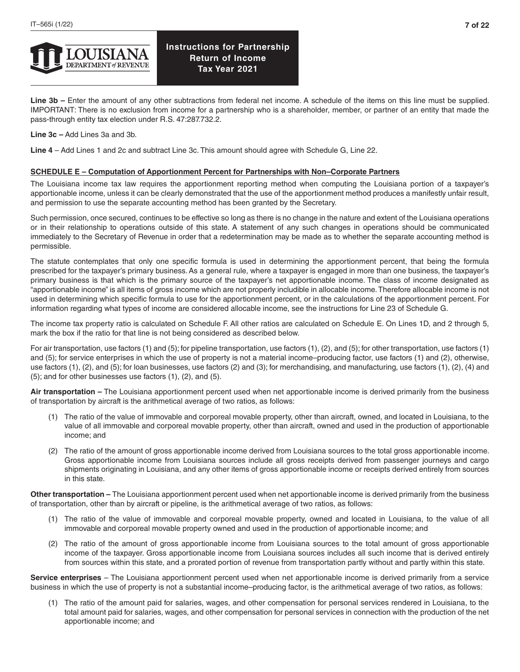

**Line 3b –** Enter the amount of any other subtractions from federal net income. A schedule of the items on this line must be supplied. IMPORTANT: There is no exclusion from income for a partnership who is a shareholder, member, or partner of an entity that made the pass-through entity tax election under R.S. 47:287.732.2.

**Line 3c –** Add Lines 3a and 3b.

**Line 4** – Add Lines 1 and 2c and subtract Line 3c. This amount should agree with Schedule G, Line 22.

### **SCHEDULE E – Computation of Apportionment Percent for Partnerships with Non–Corporate Partners**

The Louisiana income tax law requires the apportionment reporting method when computing the Louisiana portion of a taxpayer's apportionable income, unless it can be clearly demonstrated that the use of the apportionment method produces a manifestly unfair result, and permission to use the separate accounting method has been granted by the Secretary.

Such permission, once secured, continues to be effective so long as there is no change in the nature and extent of the Louisiana operations or in their relationship to operations outside of this state. A statement of any such changes in operations should be communicated immediately to the Secretary of Revenue in order that a redetermination may be made as to whether the separate accounting method is permissible.

The statute contemplates that only one specific formula is used in determining the apportionment percent, that being the formula prescribed for the taxpayer's primary business. As a general rule, where a taxpayer is engaged in more than one business, the taxpayer's primary business is that which is the primary source of the taxpayer's net apportionable income. The class of income designated as "apportionable income" is all items of gross income which are not properly includible in allocable income. Therefore allocable income is not used in determining which specific formula to use for the apportionment percent, or in the calculations of the apportionment percent. For information regarding what types of income are considered allocable income, see the instructions for Line 23 of Schedule G.

The income tax property ratio is calculated on Schedule F. All other ratios are calculated on Schedule E. On Lines 1D, and 2 through 5, mark the box if the ratio for that line is not being considered as described below.

For air transportation, use factors (1) and (5); for pipeline transportation, use factors (1), (2), and (5); for other transportation, use factors (1) and (5); for service enterprises in which the use of property is not a material income–producing factor, use factors (1) and (2), otherwise, use factors (1), (2), and (5); for loan businesses, use factors (2) and (3); for merchandising, and manufacturing, use factors (1), (2), (4) and (5); and for other businesses use factors (1), (2), and (5).

**Air transportation –** The Louisiana apportionment percent used when net apportionable income is derived primarily from the business of transportation by aircraft is the arithmetical average of two ratios, as follows:

- (1) The ratio of the value of immovable and corporeal movable property, other than aircraft, owned, and located in Louisiana, to the value of all immovable and corporeal movable property, other than aircraft, owned and used in the production of apportionable income; and
- (2) The ratio of the amount of gross apportionable income derived from Louisiana sources to the total gross apportionable income. Gross apportionable income from Louisiana sources include all gross receipts derived from passenger journeys and cargo shipments originating in Louisiana, and any other items of gross apportionable income or receipts derived entirely from sources in this state.

**Other transportation –** The Louisiana apportionment percent used when net apportionable income is derived primarily from the business of transportation, other than by aircraft or pipeline, is the arithmetical average of two ratios, as follows:

- (1) The ratio of the value of immovable and corporeal movable property, owned and located in Louisiana, to the value of all immovable and corporeal movable property owned and used in the production of apportionable income; and
- (2) The ratio of the amount of gross apportionable income from Louisiana sources to the total amount of gross apportionable income of the taxpayer. Gross apportionable income from Louisiana sources includes all such income that is derived entirely from sources within this state, and a prorated portion of revenue from transportation partly without and partly within this state.

**Service enterprises** – The Louisiana apportionment percent used when net apportionable income is derived primarily from a service business in which the use of property is not a substantial income–producing factor, is the arithmetical average of two ratios, as follows:

(1) The ratio of the amount paid for salaries, wages, and other compensation for personal services rendered in Louisiana, to the total amount paid for salaries, wages, and other compensation for personal services in connection with the production of the net apportionable income; and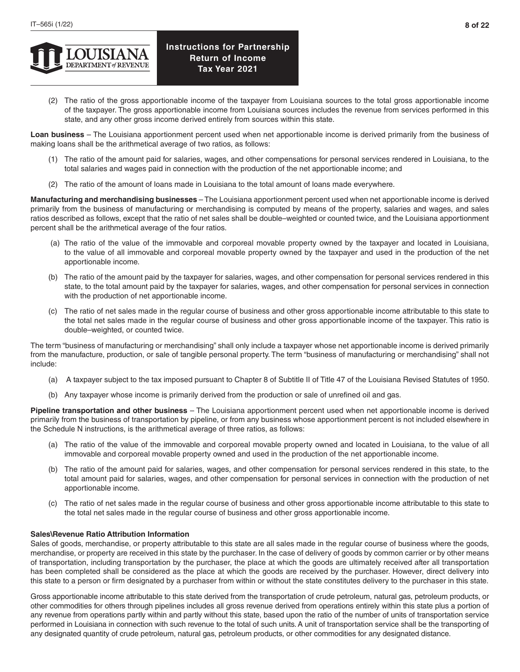

(2) The ratio of the gross apportionable income of the taxpayer from Louisiana sources to the total gross apportionable income of the taxpayer. The gross apportionable income from Louisiana sources includes the revenue from services performed in this state, and any other gross income derived entirely from sources within this state.

**Loan business** – The Louisiana apportionment percent used when net apportionable income is derived primarily from the business of making loans shall be the arithmetical average of two ratios, as follows:

- (1) The ratio of the amount paid for salaries, wages, and other compensations for personal services rendered in Louisiana, to the total salaries and wages paid in connection with the production of the net apportionable income; and
- (2) The ratio of the amount of loans made in Louisiana to the total amount of loans made everywhere.

**Manufacturing and merchandising businesses** – The Louisiana apportionment percent used when net apportionable income is derived primarily from the business of manufacturing or merchandising is computed by means of the property, salaries and wages, and sales ratios described as follows, except that the ratio of net sales shall be double–weighted or counted twice, and the Louisiana apportionment percent shall be the arithmetical average of the four ratios.

- (a) The ratio of the value of the immovable and corporeal movable property owned by the taxpayer and located in Louisiana, to the value of all immovable and corporeal movable property owned by the taxpayer and used in the production of the net apportionable income.
- (b) The ratio of the amount paid by the taxpayer for salaries, wages, and other compensation for personal services rendered in this state, to the total amount paid by the taxpayer for salaries, wages, and other compensation for personal services in connection with the production of net apportionable income.
- (c) The ratio of net sales made in the regular course of business and other gross apportionable income attributable to this state to the total net sales made in the regular course of business and other gross apportionable income of the taxpayer. This ratio is double–weighted, or counted twice.

The term "business of manufacturing or merchandising" shall only include a taxpayer whose net apportionable income is derived primarily from the manufacture, production, or sale of tangible personal property. The term "business of manufacturing or merchandising" shall not include:

- (a) A taxpayer subject to the tax imposed pursuant to Chapter 8 of Subtitle II of Title 47 of the Louisiana Revised Statutes of 1950.
- (b) Any taxpayer whose income is primarily derived from the production or sale of unrefined oil and gas.

**Pipeline transportation and other business** – The Louisiana apportionment percent used when net apportionable income is derived primarily from the business of transportation by pipeline, or from any business whose apportionment percent is not included elsewhere in the Schedule N instructions, is the arithmetical average of three ratios, as follows:

- (a) The ratio of the value of the immovable and corporeal movable property owned and located in Louisiana, to the value of all immovable and corporeal movable property owned and used in the production of the net apportionable income.
- (b) The ratio of the amount paid for salaries, wages, and other compensation for personal services rendered in this state, to the total amount paid for salaries, wages, and other compensation for personal services in connection with the production of net apportionable income.
- (c) The ratio of net sales made in the regular course of business and other gross apportionable income attributable to this state to the total net sales made in the regular course of business and other gross apportionable income.

### **Sales\Revenue Ratio Attribution Information**

Sales of goods, merchandise, or property attributable to this state are all sales made in the regular course of business where the goods, merchandise, or property are received in this state by the purchaser. In the case of delivery of goods by common carrier or by other means of transportation, including transportation by the purchaser, the place at which the goods are ultimately received after all transportation has been completed shall be considered as the place at which the goods are received by the purchaser. However, direct delivery into this state to a person or firm designated by a purchaser from within or without the state constitutes delivery to the purchaser in this state.

Gross apportionable income attributable to this state derived from the transportation of crude petroleum, natural gas, petroleum products, or other commodities for others through pipelines includes all gross revenue derived from operations entirely within this state plus a portion of any revenue from operations partly within and partly without this state, based upon the ratio of the number of units of transportation service performed in Louisiana in connection with such revenue to the total of such units. A unit of transportation service shall be the transporting of any designated quantity of crude petroleum, natural gas, petroleum products, or other commodities for any designated distance.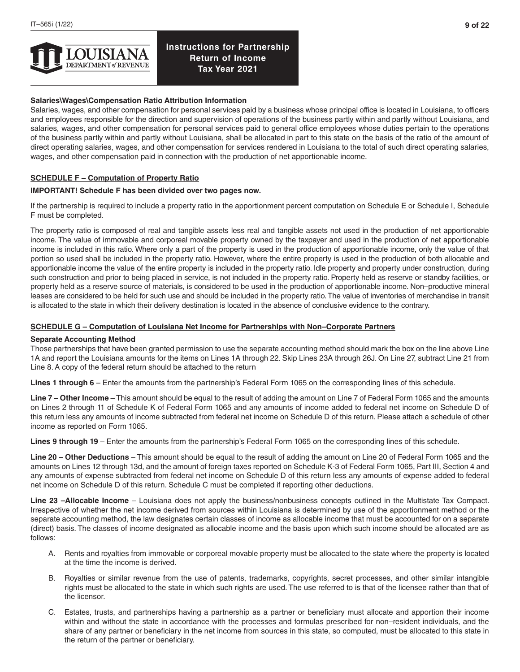

## **Salaries\Wages\Compensation Ratio Attribution Information**

Salaries, wages, and other compensation for personal services paid by a business whose principal office is located in Louisiana, to officers and employees responsible for the direction and supervision of operations of the business partly within and partly without Louisiana, and salaries, wages, and other compensation for personal services paid to general office employees whose duties pertain to the operations of the business partly within and partly without Louisiana, shall be allocated in part to this state on the basis of the ratio of the amount of direct operating salaries, wages, and other compensation for services rendered in Louisiana to the total of such direct operating salaries, wages, and other compensation paid in connection with the production of net apportionable income.

### **SCHEDULE F – Computation of Property Ratio**

#### **IMPORTANT! Schedule F has been divided over two pages now.**

If the partnership is required to include a property ratio in the apportionment percent computation on Schedule E or Schedule I, Schedule F must be completed.

The property ratio is composed of real and tangible assets less real and tangible assets not used in the production of net apportionable income. The value of immovable and corporeal movable property owned by the taxpayer and used in the production of net apportionable income is included in this ratio. Where only a part of the property is used in the production of apportionable income, only the value of that portion so used shall be included in the property ratio. However, where the entire property is used in the production of both allocable and apportionable income the value of the entire property is included in the property ratio. Idle property and property under construction, during such construction and prior to being placed in service, is not included in the property ratio. Property held as reserve or standby facilities, or property held as a reserve source of materials, is considered to be used in the production of apportionable income. Non–productive mineral leases are considered to be held for such use and should be included in the property ratio. The value of inventories of merchandise in transit is allocated to the state in which their delivery destination is located in the absence of conclusive evidence to the contrary.

### **SCHEDULE G – Computation of Louisiana Net Income for Partnerships with Non–Corporate Partners**

#### **Separate Accounting Method**

Those partnerships that have been granted permission to use the separate accounting method should mark the box on the line above Line 1A and report the Louisiana amounts for the items on Lines 1A through 22. Skip Lines 23A through 26J. On Line 27, subtract Line 21 from Line 8. A copy of the federal return should be attached to the return

**Lines 1 through 6** – Enter the amounts from the partnership's Federal Form 1065 on the corresponding lines of this schedule.

**Line 7 – Other Income** – This amount should be equal to the result of adding the amount on Line 7 of Federal Form 1065 and the amounts on Lines 2 through 11 of Schedule K of Federal Form 1065 and any amounts of income added to federal net income on Schedule D of this return less any amounts of income subtracted from federal net income on Schedule D of this return. Please attach a schedule of other income as reported on Form 1065.

**Lines 9 through 19** – Enter the amounts from the partnership's Federal Form 1065 on the corresponding lines of this schedule.

**Line 20 – Other Deductions** – This amount should be equal to the result of adding the amount on Line 20 of Federal Form 1065 and the amounts on Lines 12 through 13d, and the amount of foreign taxes reported on Schedule K-3 of Federal Form 1065, Part III, Section 4 and any amounts of expense subtracted from federal net income on Schedule D of this return less any amounts of expense added to federal net income on Schedule D of this return. Schedule C must be completed if reporting other deductions.

**Line 23 –Allocable Income** – Louisiana does not apply the business/nonbusiness concepts outlined in the Multistate Tax Compact. Irrespective of whether the net income derived from sources within Louisiana is determined by use of the apportionment method or the separate accounting method, the law designates certain classes of income as allocable income that must be accounted for on a separate (direct) basis. The classes of income designated as allocable income and the basis upon which such income should be allocated are as follows:

- A. Rents and royalties from immovable or corporeal movable property must be allocated to the state where the property is located at the time the income is derived.
- B. Royalties or similar revenue from the use of patents, trademarks, copyrights, secret processes, and other similar intangible rights must be allocated to the state in which such rights are used. The use referred to is that of the licensee rather than that of the licensor.
- C. Estates, trusts, and partnerships having a partnership as a partner or beneficiary must allocate and apportion their income within and without the state in accordance with the processes and formulas prescribed for non–resident individuals, and the share of any partner or beneficiary in the net income from sources in this state, so computed, must be allocated to this state in the return of the partner or beneficiary.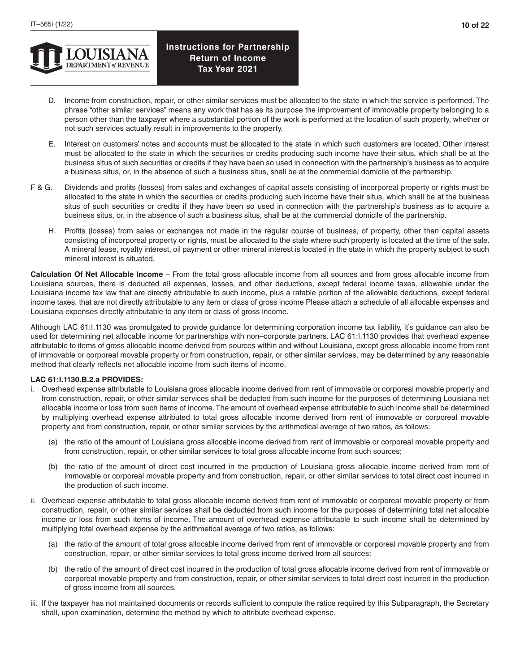

- D. Income from construction, repair, or other similar services must be allocated to the state in which the service is performed. The phrase "other similar services" means any work that has as its purpose the improvement of immovable property belonging to a person other than the taxpayer where a substantial portion of the work is performed at the location of such property, whether or not such services actually result in improvements to the property.
- E. Interest on customers' notes and accounts must be allocated to the state in which such customers are located. Other interest must be allocated to the state in which the securities or credits producing such income have their situs, which shall be at the business situs of such securities or credits if they have been so used in connection with the partnership's business as to acquire a business situs, or, in the absence of such a business situs, shall be at the commercial domicile of the partnership.
- F & G. Dividends and profits (losses) from sales and exchanges of capital assets consisting of incorporeal property or rights must be allocated to the state in which the securities or credits producing such income have their situs, which shall be at the business situs of such securities or credits if they have been so used in connection with the partnership's business as to acquire a business situs, or, in the absence of such a business situs, shall be at the commercial domicile of the partnership.
	- H. Profits (losses) from sales or exchanges not made in the regular course of business, of property, other than capital assets consisting of incorporeal property or rights, must be allocated to the state where such property is located at the time of the sale. A mineral lease, royalty interest, oil payment or other mineral interest is located in the state in which the property subject to such mineral interest is situated.

**Calculation Of Net Allocable Income** – From the total gross allocable income from all sources and from gross allocable income from Louisiana sources, there is deducted all expenses, losses, and other deductions, except federal income taxes, allowable under the Louisiana income tax law that are directly attributable to such income, plus a ratable portion of the allowable deductions, except federal income taxes, that are not directly attributable to any item or class of gross income Please attach a schedule of all allocable expenses and Louisiana expenses directly attributable to any item or class of gross income.

Although LAC 61:I.1130 was promulgated to provide guidance for determining corporation income tax liability, it's guidance can also be used for determining net allocable income for partnerships with non–corporate partners. LAC 61:I.1130 provides that overhead expense attributable to items of gross allocable income derived from sources within and without Louisiana, except gross allocable income from rent of immovable or corporeal movable property or from construction, repair, or other similar services, may be determined by any reasonable method that clearly reflects net allocable income from such items of income.

## **LAC 61:I.1130.B.2.a PROVIDES:**

- i. Overhead expense attributable to Louisiana gross allocable income derived from rent of immovable or corporeal movable property and from construction, repair, or other similar services shall be deducted from such income for the purposes of determining Louisiana net allocable income or loss from such items of income. The amount of overhead expense attributable to such income shall be determined by multiplying overhead expense attributed to total gross allocable income derived from rent of immovable or corporeal movable property and from construction, repair, or other similar services by the arithmetical average of two ratios, as follows:
	- (a) the ratio of the amount of Louisiana gross allocable income derived from rent of immovable or corporeal movable property and from construction, repair, or other similar services to total gross allocable income from such sources;
	- (b) the ratio of the amount of direct cost incurred in the production of Louisiana gross allocable income derived from rent of immovable or corporeal movable property and from construction, repair, or other similar services to total direct cost incurred in the production of such income.
- ii. Overhead expense attributable to total gross allocable income derived from rent of immovable or corporeal movable property or from construction, repair, or other similar services shall be deducted from such income for the purposes of determining total net allocable income or loss from such items of income. The amount of overhead expense attributable to such income shall be determined by multiplying total overhead expense by the arithmetical average of two ratios, as follows:
	- (a) the ratio of the amount of total gross allocable income derived from rent of immovable or corporeal movable property and from construction, repair, or other similar services to total gross income derived from all sources;
	- (b) the ratio of the amount of direct cost incurred in the production of total gross allocable income derived from rent of immovable or corporeal movable property and from construction, repair, or other similar services to total direct cost incurred in the production of gross income from all sources.
- iii. If the taxpayer has not maintained documents or records sufficient to compute the ratios required by this Subparagraph, the Secretary shall, upon examination, determine the method by which to attribute overhead expense.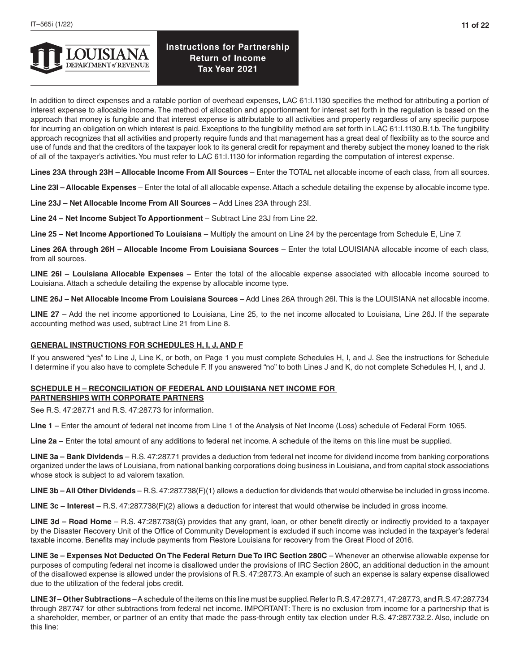In addition to direct expenses and a ratable portion of overhead expenses, LAC 61:I.1130 specifies the method for attributing a portion of interest expense to allocable income. The method of allocation and apportionment for interest set forth in the regulation is based on the approach that money is fungible and that interest expense is attributable to all activities and property regardless of any specific purpose for incurring an obligation on which interest is paid. Exceptions to the fungibility method are set forth in LAC 61:I.1130.B.1.b. The fungibility approach recognizes that all activities and property require funds and that management has a great deal of flexibility as to the source and use of funds and that the creditors of the taxpayer look to its general credit for repayment and thereby subject the money loaned to the risk of all of the taxpayer's activities. You must refer to LAC 61:I.1130 for information regarding the computation of interest expense.

**Lines 23A through 23H – Allocable Income From All Sources** – Enter the TOTAL net allocable income of each class, from all sources.

**Line 23I – Allocable Expenses** – Enter the total of all allocable expense. Attach a schedule detailing the expense by allocable income type.

**Line 23J – Net Allocable Income From All Sources** – Add Lines 23A through 23I.

**Line 24 – Net Income Subject To Apportionment** – Subtract Line 23J from Line 22.

**Line 25 – Net Income Apportioned To Louisiana** – Multiply the amount on Line 24 by the percentage from Schedule E, Line 7.

**Lines 26A through 26H – Allocable Income From Louisiana Sources** – Enter the total LOUISIANA allocable income of each class, from all sources.

**LINE 26I – Louisiana Allocable Expenses** – Enter the total of the allocable expense associated with allocable income sourced to Louisiana. Attach a schedule detailing the expense by allocable income type.

**LINE 26J – Net Allocable Income From Louisiana Sources** – Add Lines 26A through 26I. This is the LOUISIANA net allocable income.

LINE 27 – Add the net income apportioned to Louisiana, Line 25, to the net income allocated to Louisiana, Line 26J. If the separate accounting method was used, subtract Line 21 from Line 8.

## **GENERAL INSTRUCTIONS FOR SCHEDULES H, I, J, AND F**

If you answered "yes" to Line J, Line K, or both, on Page 1 you must complete Schedules H, I, and J. See the instructions for Schedule I determine if you also have to complete Schedule F. If you answered "no" to both Lines J and K, do not complete Schedules H, I, and J.

### **SCHEDULE H – RECONCILIATION OF FEDERAL AND LOUISIANA NET INCOME FOR PARTNERSHIPS WITH CORPORATE PARTNERS**

See R.S. 47:287.71 and R.S. 47:287.73 for information.

**Line 1** – Enter the amount of federal net income from Line 1 of the Analysis of Net Income (Loss) schedule of Federal Form 1065.

**Line 2a** – Enter the total amount of any additions to federal net income. A schedule of the items on this line must be supplied.

**LINE 3a – Bank Dividends** – R.S. 47:287.71 provides a deduction from federal net income for dividend income from banking corporations organized under the laws of Louisiana, from national banking corporations doing business in Louisiana, and from capital stock associations whose stock is subject to ad valorem taxation.

**LINE 3b – All Other Dividends** – R.S. 47:287.738(F)(1) allows a deduction for dividends that would otherwise be included in gross income.

**LINE 3c – Interest** – R.S. 47:287.738(F)(2) allows a deduction for interest that would otherwise be included in gross income.

**LINE 3d – Road Home** – R.S. 47:287.738(G) provides that any grant, loan, or other benefit directly or indirectly provided to a taxpayer by the Disaster Recovery Unit of the Office of Community Development is excluded if such income was included in the taxpayer's federal taxable income. Benefits may include payments from Restore Louisiana for recovery from the Great Flood of 2016.

**LINE 3e – Expenses Not Deducted On The Federal Return Due To IRC Section 280C** – Whenever an otherwise allowable expense for purposes of computing federal net income is disallowed under the provisions of IRC Section 280C, an additional deduction in the amount of the disallowed expense is allowed under the provisions of R.S. 47:287.73. An example of such an expense is salary expense disallowed due to the utilization of the federal jobs credit.

**LINE 3f – Other Subtractions** – A schedule of the items on this line must be supplied. Refer to R.S.47:287.71, 47:287.73, and R.S.47:287.734 through 287.747 for other subtractions from federal net income. IMPORTANT: There is no exclusion from income for a partnership that is a shareholder, member, or partner of an entity that made the pass-through entity tax election under R.S. 47:287.732.2. Also, include on this line: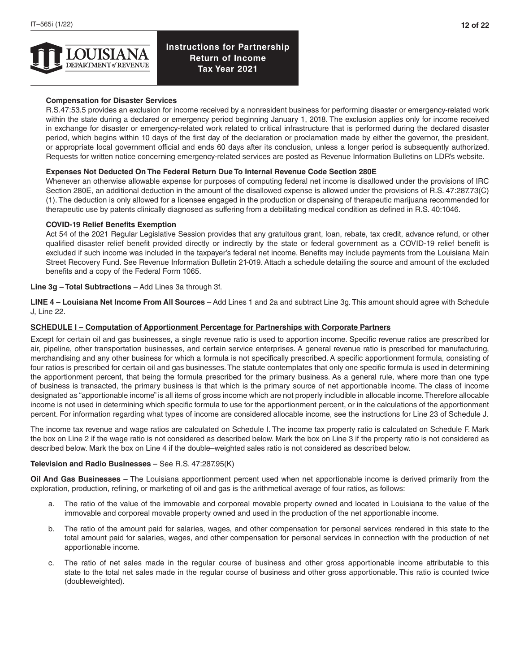

## **Compensation for Disaster Services**

R.S.47:53.5 provides an exclusion for income received by a nonresident business for performing disaster or emergency-related work within the state during a declared or emergency period beginning January 1, 2018. The exclusion applies only for income received in exchange for disaster or emergency-related work related to critical infrastructure that is performed during the declared disaster period, which begins within 10 days of the first day of the declaration or proclamation made by either the governor, the president, or appropriate local government official and ends 60 days after its conclusion, unless a longer period is subsequently authorized. Requests for written notice concerning emergency-related services are posted as Revenue Information Bulletins on LDR's website.

### **Expenses Not Deducted On The Federal Return Due To Internal Revenue Code Section 280E**

Whenever an otherwise allowable expense for purposes of computing federal net income is disallowed under the provisions of IRC Section 280E, an additional deduction in the amount of the disallowed expense is allowed under the provisions of R.S. 47:287.73(C) (1). The deduction is only allowed for a licensee engaged in the production or dispensing of therapeutic marijuana recommended for therapeutic use by patents clinically diagnosed as suffering from a debilitating medical condition as defined in R.S. 40:1046.

#### **COVID-19 Relief Benefits Exemption**

Act 54 of the 2021 Regular Legislative Session provides that any gratuitous grant, loan, rebate, tax credit, advance refund, or other qualified disaster relief benefit provided directly or indirectly by the state or federal government as a COVID-19 relief benefit is excluded if such income was included in the taxpayer's federal net income. Benefits may include payments from the Louisiana Main Street Recovery Fund. See Revenue Information Bulletin 21-019. Attach a schedule detailing the source and amount of the excluded benefits and a copy of the Federal Form 1065.

#### **Line 3g – Total Subtractions** – Add Lines 3a through 3f.

**LINE 4 – Louisiana Net Income From All Sources** – Add Lines 1 and 2a and subtract Line 3g. This amount should agree with Schedule J, Line 22.

### **SCHEDULE I – Computation of Apportionment Percentage for Partnerships with Corporate Partners**

Except for certain oil and gas businesses, a single revenue ratio is used to apportion income. Specific revenue ratios are prescribed for air, pipeline, other transportation businesses, and certain service enterprises. A general revenue ratio is prescribed for manufacturing, merchandising and any other business for which a formula is not specifically prescribed. A specific apportionment formula, consisting of four ratios is prescribed for certain oil and gas businesses. The statute contemplates that only one specific formula is used in determining the apportionment percent, that being the formula prescribed for the primary business. As a general rule, where more than one type of business is transacted, the primary business is that which is the primary source of net apportionable income. The class of income designated as "apportionable income" is all items of gross income which are not properly includible in allocable income. Therefore allocable income is not used in determining which specific formula to use for the apportionment percent, or in the calculations of the apportionment percent. For information regarding what types of income are considered allocable income, see the instructions for Line 23 of Schedule J.

The income tax revenue and wage ratios are calculated on Schedule I. The income tax property ratio is calculated on Schedule F. Mark the box on Line 2 if the wage ratio is not considered as described below. Mark the box on Line 3 if the property ratio is not considered as described below. Mark the box on Line 4 if the double–weighted sales ratio is not considered as described below.

#### **Television and Radio Businesses** – See R.S. 47:287.95(K)

**Oil And Gas Businesses** – The Louisiana apportionment percent used when net apportionable income is derived primarily from the exploration, production, refining, or marketing of oil and gas is the arithmetical average of four ratios, as follows:

- a. The ratio of the value of the immovable and corporeal movable property owned and located in Louisiana to the value of the immovable and corporeal movable property owned and used in the production of the net apportionable income.
- b. The ratio of the amount paid for salaries, wages, and other compensation for personal services rendered in this state to the total amount paid for salaries, wages, and other compensation for personal services in connection with the production of net apportionable income.
- c. The ratio of net sales made in the regular course of business and other gross apportionable income attributable to this state to the total net sales made in the regular course of business and other gross apportionable. This ratio is counted twice (doubleweighted).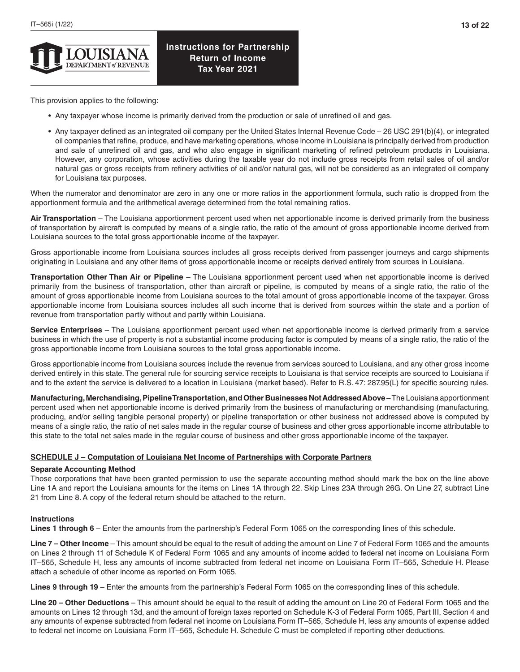This provision applies to the following:

- Any taxpayer whose income is primarily derived from the production or sale of unrefined oil and gas.
- Any taxpayer defined as an integrated oil company per the United States Internal Revenue Code 26 USC 291(b)(4), or integrated oil companies that refine, produce, and have marketing operations, whose income in Louisiana is principally derived from production and sale of unrefined oil and gas, and who also engage in significant marketing of refined petroleum products in Louisiana. However, any corporation, whose activities during the taxable year do not include gross receipts from retail sales of oil and/or natural gas or gross receipts from refinery activities of oil and/or natural gas, will not be considered as an integrated oil company for Louisiana tax purposes.

When the numerator and denominator are zero in any one or more ratios in the apportionment formula, such ratio is dropped from the apportionment formula and the arithmetical average determined from the total remaining ratios.

**Air Transportation** – The Louisiana apportionment percent used when net apportionable income is derived primarily from the business of transportation by aircraft is computed by means of a single ratio, the ratio of the amount of gross apportionable income derived from Louisiana sources to the total gross apportionable income of the taxpayer.

Gross apportionable income from Louisiana sources includes all gross receipts derived from passenger journeys and cargo shipments originating in Louisiana and any other items of gross apportionable income or receipts derived entirely from sources in Louisiana.

**Transportation Other Than Air or Pipeline** – The Louisiana apportionment percent used when net apportionable income is derived primarily from the business of transportation, other than aircraft or pipeline, is computed by means of a single ratio, the ratio of the amount of gross apportionable income from Louisiana sources to the total amount of gross apportionable income of the taxpayer. Gross apportionable income from Louisiana sources includes all such income that is derived from sources within the state and a portion of revenue from transportation partly without and partly within Louisiana.

**Service Enterprises** – The Louisiana apportionment percent used when net apportionable income is derived primarily from a service business in which the use of property is not a substantial income producing factor is computed by means of a single ratio, the ratio of the gross apportionable income from Louisiana sources to the total gross apportionable income.

Gross apportionable income from Louisiana sources include the revenue from services sourced to Louisiana, and any other gross income derived entirely in this state. The general rule for sourcing service receipts to Louisiana is that service receipts are sourced to Louisiana if and to the extent the service is delivered to a location in Louisiana (market based). Refer to R.S. 47: 287.95(L) for specific sourcing rules.

**Manufacturing, Merchandising, Pipeline Transportation, and Other Businesses Not Addressed Above** – The Louisiana apportionment percent used when net apportionable income is derived primarily from the business of manufacturing or merchandising (manufacturing, producing, and/or selling tangible personal property) or pipeline transportation or other business not addressed above is computed by means of a single ratio, the ratio of net sales made in the regular course of business and other gross apportionable income attributable to this state to the total net sales made in the regular course of business and other gross apportionable income of the taxpayer.

## **SCHEDULE J – Computation of Louisiana Net Income of Partnerships with Corporate Partners**

### **Separate Accounting Method**

Those corporations that have been granted permission to use the separate accounting method should mark the box on the line above Line 1A and report the Louisiana amounts for the items on Lines 1A through 22. Skip Lines 23A through 26G. On Line 27, subtract Line 21 from Line 8. A copy of the federal return should be attached to the return.

### **Instructions**

**Lines 1 through 6** – Enter the amounts from the partnership's Federal Form 1065 on the corresponding lines of this schedule.

**Line 7 – Other Income** – This amount should be equal to the result of adding the amount on Line 7 of Federal Form 1065 and the amounts on Lines 2 through 11 of Schedule K of Federal Form 1065 and any amounts of income added to federal net income on Louisiana Form IT–565, Schedule H, less any amounts of income subtracted from federal net income on Louisiana Form IT–565, Schedule H. Please attach a schedule of other income as reported on Form 1065.

**Lines 9 through 19** – Enter the amounts from the partnership's Federal Form 1065 on the corresponding lines of this schedule.

**Line 20 – Other Deductions** – This amount should be equal to the result of adding the amount on Line 20 of Federal Form 1065 and the amounts on Lines 12 through 13d, and the amount of foreign taxes reported on Schedule K-3 of Federal Form 1065, Part III, Section 4 and any amounts of expense subtracted from federal net income on Louisiana Form IT–565, Schedule H, less any amounts of expense added to federal net income on Louisiana Form IT–565, Schedule H. Schedule C must be completed if reporting other deductions.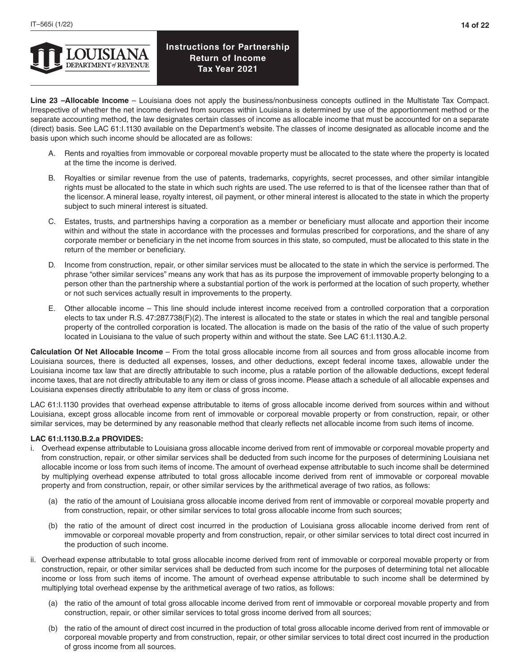**Line 23 –Allocable Income** – Louisiana does not apply the business/nonbusiness concepts outlined in the Multistate Tax Compact. Irrespective of whether the net income derived from sources within Louisiana is determined by use of the apportionment method or the separate accounting method, the law designates certain classes of income as allocable income that must be accounted for on a separate (direct) basis. See LAC 61:I.1130 available on the Department's website. The classes of income designated as allocable income and the basis upon which such income should be allocated are as follows:

- A. Rents and royalties from immovable or corporeal movable property must be allocated to the state where the property is located at the time the income is derived.
- B. Royalties or similar revenue from the use of patents, trademarks, copyrights, secret processes, and other similar intangible rights must be allocated to the state in which such rights are used. The use referred to is that of the licensee rather than that of the licensor. A mineral lease, royalty interest, oil payment, or other mineral interest is allocated to the state in which the property subject to such mineral interest is situated.
- C. Estates, trusts, and partnerships having a corporation as a member or beneficiary must allocate and apportion their income within and without the state in accordance with the processes and formulas prescribed for corporations, and the share of any corporate member or beneficiary in the net income from sources in this state, so computed, must be allocated to this state in the return of the member or beneficiary.
- D. Income from construction, repair, or other similar services must be allocated to the state in which the service is performed. The phrase "other similar services" means any work that has as its purpose the improvement of immovable property belonging to a person other than the partnership where a substantial portion of the work is performed at the location of such property, whether or not such services actually result in improvements to the property.
- E. Other allocable income This line should include interest income received from a controlled corporation that a corporation elects to tax under R.S. 47:287.738(F)(2). The interest is allocated to the state or states in which the real and tangible personal property of the controlled corporation is located. The allocation is made on the basis of the ratio of the value of such property located in Louisiana to the value of such property within and without the state. See LAC 61:I.1130.A.2.

**Calculation Of Net Allocable Income** – From the total gross allocable income from all sources and from gross allocable income from Louisiana sources, there is deducted all expenses, losses, and other deductions, except federal income taxes, allowable under the Louisiana income tax law that are directly attributable to such income, plus a ratable portion of the allowable deductions, except federal income taxes, that are not directly attributable to any item or class of gross income. Please attach a schedule of all allocable expenses and Louisiana expenses directly attributable to any item or class of gross income.

LAC 61:I.1130 provides that overhead expense attributable to items of gross allocable income derived from sources within and without Louisiana, except gross allocable income from rent of immovable or corporeal movable property or from construction, repair, or other similar services, may be determined by any reasonable method that clearly reflects net allocable income from such items of income.

## **LAC 61:I.1130.B.2.a PROVIDES:**

- i. Overhead expense attributable to Louisiana gross allocable income derived from rent of immovable or corporeal movable property and from construction, repair, or other similar services shall be deducted from such income for the purposes of determining Louisiana net allocable income or loss from such items of income. The amount of overhead expense attributable to such income shall be determined by multiplying overhead expense attributed to total gross allocable income derived from rent of immovable or corporeal movable property and from construction, repair, or other similar services by the arithmetical average of two ratios, as follows:
	- (a) the ratio of the amount of Louisiana gross allocable income derived from rent of immovable or corporeal movable property and from construction, repair, or other similar services to total gross allocable income from such sources;
	- (b) the ratio of the amount of direct cost incurred in the production of Louisiana gross allocable income derived from rent of immovable or corporeal movable property and from construction, repair, or other similar services to total direct cost incurred in the production of such income.
- ii. Overhead expense attributable to total gross allocable income derived from rent of immovable or corporeal movable property or from construction, repair, or other similar services shall be deducted from such income for the purposes of determining total net allocable income or loss from such items of income. The amount of overhead expense attributable to such income shall be determined by multiplying total overhead expense by the arithmetical average of two ratios, as follows:
	- (a) the ratio of the amount of total gross allocable income derived from rent of immovable or corporeal movable property and from construction, repair, or other similar services to total gross income derived from all sources;
	- (b) the ratio of the amount of direct cost incurred in the production of total gross allocable income derived from rent of immovable or corporeal movable property and from construction, repair, or other similar services to total direct cost incurred in the production of gross income from all sources.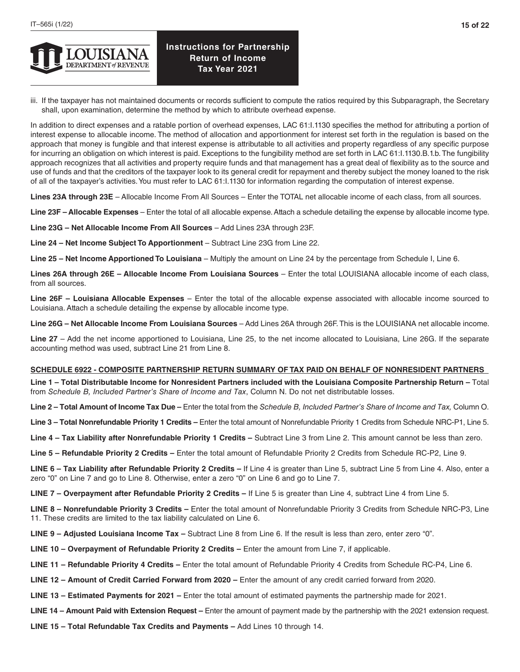

iii. If the taxpayer has not maintained documents or records sufficient to compute the ratios required by this Subparagraph, the Secretary shall, upon examination, determine the method by which to attribute overhead expense.

In addition to direct expenses and a ratable portion of overhead expenses, LAC 61:1.1130 specifies the method for attributing a portion of interest expense to allocable income. The method of allocation and apportionment for interest set forth in the regulation is based on the approach that money is fungible and that interest expense is attributable to all activities and property regardless of any specific purpose for incurring an obligation on which interest is paid. Exceptions to the fungibility method are set forth in LAC 61:I.1130.B.1.b. The fungibility approach recognizes that all activities and property require funds and that management has a great deal of flexibility as to the source and use of funds and that the creditors of the taxpayer look to its general credit for repayment and thereby subject the money loaned to the risk of all of the taxpayer's activities. You must refer to LAC 61:I.1130 for information regarding the computation of interest expense.

**Lines 23A through 23E** – Allocable Income From All Sources – Enter the TOTAL net allocable income of each class, from all sources.

**Line 23F – Allocable Expenses** – Enter the total of all allocable expense. Attach a schedule detailing the expense by allocable income type.

**Line 23G – Net Allocable Income From All Sources** – Add Lines 23A through 23F.

**Line 24 – Net Income Subject To Apportionment** – Subtract Line 23G from Line 22.

**Line 25 – Net Income Apportioned To Louisiana** – Multiply the amount on Line 24 by the percentage from Schedule I, Line 6.

**Lines 26A through 26E – Allocable Income From Louisiana Sources** – Enter the total LOUISIANA allocable income of each class, from all sources.

**Line 26F – Louisiana Allocable Expenses** – Enter the total of the allocable expense associated with allocable income sourced to Louisiana. Attach a schedule detailing the expense by allocable income type.

**Line 26G – Net Allocable Income From Louisiana Sources** – Add Lines 26A through 26F. This is the LOUISIANA net allocable income.

**Line 27** – Add the net income apportioned to Louisiana, Line 25, to the net income allocated to Louisiana, Line 26G. If the separate accounting method was used, subtract Line 21 from Line 8.

### **SCHEDULE 6922 - COMPOSITE PARTNERSHIP RETURN SUMMARY OF TAX PAID ON BEHALF OF NONRESIDENT PARTNERS**

**Line 1 – Total Distributable Income for Nonresident Partners included with the Louisiana Composite Partnership Return –** Total from *Schedule B, Included Partner's Share of Income and Tax*, Column N. Do not net distributable losses.

**Line 2 – Total Amount of Income Tax Due –** Enter the total from the *Schedule B, Included Partner's Share of Income and Tax,* Column O.

**Line 3 – Total Nonrefundable Priority 1 Credits –** Enter the total amount of Nonrefundable Priority 1 Credits from Schedule NRC-P1, Line 5.

Line 4 - Tax Liability after Nonrefundable Priority 1 Credits - Subtract Line 3 from Line 2. This amount cannot be less than zero.

**Line 5 – Refundable Priority 2 Credits –** Enter the total amount of Refundable Priority 2 Credits from Schedule RC-P2, Line 9.

**LINE 6 – Tax Liability after Refundable Priority 2 Credits –** If Line 4 is greater than Line 5, subtract Line 5 from Line 4. Also, enter a zero "0" on Line 7 and go to Line 8. Otherwise, enter a zero "0" on Line 6 and go to Line 7.

**LINE 7 – Overpayment after Refundable Priority 2 Credits –** If Line 5 is greater than Line 4, subtract Line 4 from Line 5.

**LINE 8 – Nonrefundable Priority 3 Credits –** Enter the total amount of Nonrefundable Priority 3 Credits from Schedule NRC-P3, Line 11. These credits are limited to the tax liability calculated on Line 6.

- **LINE 9 Adjusted Louisiana Income Tax** Subtract Line 8 from Line 6. If the result is less than zero, enter zero "0".
- **LINE 10 Overpayment of Refundable Priority 2 Credits** Enter the amount from Line 7, if applicable.
- **LINE 11 Refundable Priority 4 Credits** Enter the total amount of Refundable Priority 4 Credits from Schedule RC-P4, Line 6.
- **LINE 12 Amount of Credit Carried Forward from 2020 –** Enter the amount of any credit carried forward from 2020.
- **LINE 13 Estimated Payments for 2021** Enter the total amount of estimated payments the partnership made for 2021.
- **LINE 14 Amount Paid with Extension Request** Enter the amount of payment made by the partnership with the 2021 extension request.
- **LINE 15 Total Refundable Tax Credits and Payments** Add Lines 10 through 14.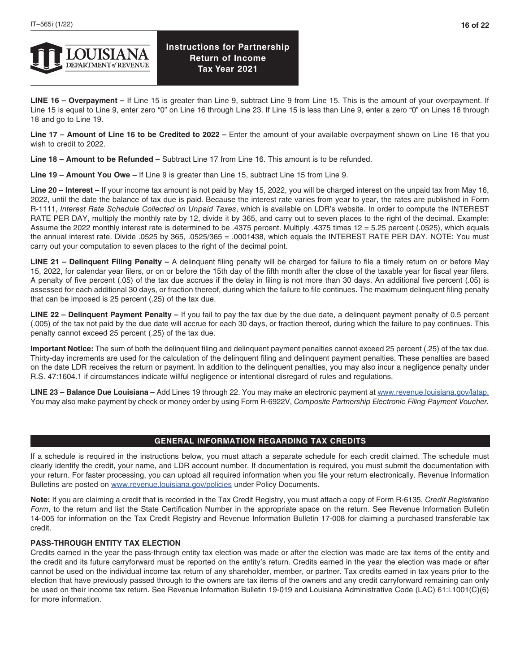

**LINE 16 – Overpayment –** If Line 15 is greater than Line 9, subtract Line 9 from Line 15. This is the amount of your overpayment. If Line 15 is equal to Line 9, enter zero "0" on Line 16 through Line 23. If Line 15 is less than Line 9, enter a zero "0" on Lines 16 through 18 and go to Line 19.

**Line 17 – Amount of Line 16 to be Credited to 2022 –** Enter the amount of your available overpayment shown on Line 16 that you wish to credit to 2022.

**Line 18 – Amount to be Refunded –** Subtract Line 17 from Line 16. This amount is to be refunded.

**Line 19 – Amount You Owe –** If Line 9 is greater than Line 15, subtract Line 15 from Line 9.

**Line 20 – Interest –** If your income tax amount is not paid by May 15, 2022, you will be charged interest on the unpaid tax from May 16, 2022, until the date the balance of tax due is paid. Because the interest rate varies from year to year, the rates are published in Form R-1111, *Interest Rate Schedule Collected on Unpaid Taxes*, which is available on LDR's website. In order to compute the INTEREST RATE PER DAY, multiply the monthly rate by 12, divide it by 365, and carry out to seven places to the right of the decimal. Example: Assume the 2022 monthly interest rate is determined to be .4375 percent. Multiply .4375 times 12 = 5.25 percent (.0525), which equals the annual interest rate. Divide .0525 by 365, .0525/365 = .0001438, which equals the INTEREST RATE PER DAY. NOTE: You must carry out your computation to seven places to the right of the decimal point.

**LINE 21 – Delinquent Filing Penalty –** A delinquent filing penalty will be charged for failure to file a timely return on or before May 15, 2022, for calendar year filers, or on or before the 15th day of the fifth month after the close of the taxable year for fiscal year filers. A penalty of five percent (.05) of the tax due accrues if the delay in filing is not more than 30 days. An additional five percent (.05) is assessed for each additional 30 days, or fraction thereof, during which the failure to file continues. The maximum delinquent filing penalty that can be imposed is 25 percent (.25) of the tax due.

**LINE 22 – Delinquent Payment Penalty –** If you fail to pay the tax due by the due date, a delinquent payment penalty of 0.5 percent (.005) of the tax not paid by the due date will accrue for each 30 days, or fraction thereof, during which the failure to pay continues. This penalty cannot exceed 25 percent (.25) of the tax due.

**Important Notice:** The sum of both the delinquent filing and delinquent payment penalties cannot exceed 25 percent (.25) of the tax due. Thirty-day increments are used for the calculation of the delinquent filing and delinquent payment penalties. These penalties are based on the date LDR receives the return or payment. In addition to the delinquent penalties, you may also incur a negligence penalty under R.S. 47:1604.1 if circumstances indicate willful negligence or intentional disregard of rules and regulations.

**LINE 23 – Balance Due Louisiana –** Add Lines 19 through 22. You may make an electronic payment at [www.revenue.louisiana.gov/latap.](http://www.revenue.louisiana.gov/latap) You may also make payment by check or money order by using Form R-6922V, *Composite Partnership Electronic Filing Payment Voucher.* 

### **GENERAL INFORMATION REGARDING TAX CREDITS**

If a schedule is required in the instructions below, you must attach a separate schedule for each credit claimed. The schedule must clearly identify the credit, your name, and LDR account number. If documentation is required, you must submit the documentation with your return. For faster processing, you can upload all required information when you file your return electronically. Revenue Information Bulletins are posted on [www.revenue.louisiana.gov/policies](http://www.revenue.louisiana.gov/policies) under Policy Documents.

**Note:** If you are claiming a credit that is recorded in the Tax Credit Registry, you must attach a copy of Form R-6135, *Credit Registration Form*, to the return and list the State Certification Number in the appropriate space on the return. See Revenue Information Bulletin 14-005 for information on the Tax Credit Registry and Revenue Information Bulletin 17-008 for claiming a purchased transferable tax credit.

### **PASS-THROUGH ENTITY TAX ELECTION**

Credits earned in the year the pass-through entity tax election was made or after the election was made are tax items of the entity and the credit and its future carryforward must be reported on the entity's return. Credits earned in the year the election was made or after cannot be used on the individual income tax return of any shareholder, member, or partner. Tax credits earned in tax years prior to the election that have previously passed through to the owners are tax items of the owners and any credit carryforward remaining can only be used on their income tax return. See Revenue Information Bulletin 19-019 and Louisiana Administrative Code (LAC) 61:l.1001(C)(6) for more information.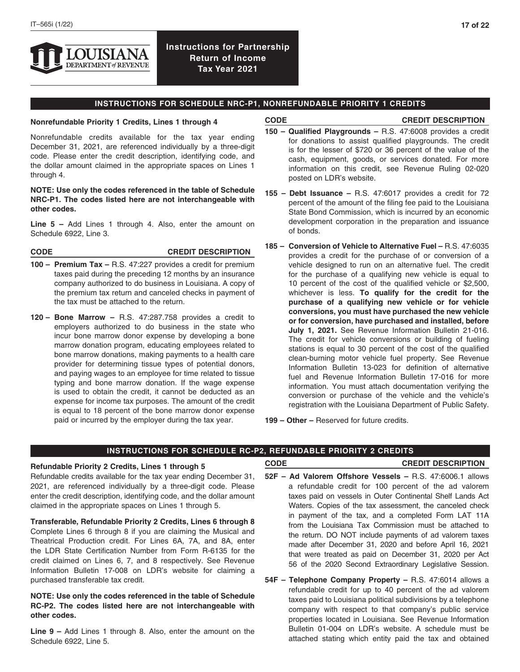

## **INSTRUCTIONS FOR SCHEDULE NRC-P1, NONREFUNDABLE PRIORITY 1 CREDITS**

#### **Nonrefundable Priority 1 Credits, Lines 1 through 4**

#### **CODE CREDIT DESCRIPTION**

Nonrefundable credits available for the tax year ending December 31, 2021, are referenced individually by a three-digit code. Please enter the credit description, identifying code, and the dollar amount claimed in the appropriate spaces on Lines 1 through 4.

### **NOTE: Use only the codes referenced in the table of Schedule NRC-P1. The codes listed here are not interchangeable with other codes.**

**Line 5 –** Add Lines 1 through 4. Also, enter the amount on Schedule 6922, Line 3.

#### **CODE CREDIT DESCRIPTION**

- **100 – Premium Tax** R.S. 47:227 provides a credit for premium taxes paid during the preceding 12 months by an insurance company authorized to do business in Louisiana. A copy of the premium tax return and canceled checks in payment of the tax must be attached to the return.
- **120 – Bone Marrow** R.S. 47:287.758 provides a credit to employers authorized to do business in the state who incur bone marrow donor expense by developing a bone marrow donation program, educating employees related to bone marrow donations, making payments to a health care provider for determining tissue types of potential donors, and paying wages to an employee for time related to tissue typing and bone marrow donation. If the wage expense is used to obtain the credit, it cannot be deducted as an expense for income tax purposes. The amount of the credit is equal to 18 percent of the bone marrow donor expense paid or incurred by the employer during the tax year.
- **150 Qualified Playgrounds** R.S. 47:6008 provides a credit for donations to assist qualified playgrounds. The credit is for the lesser of \$720 or 36 percent of the value of the cash, equipment, goods, or services donated. For more information on this credit, see Revenue Ruling 02-020 posted on LDR's website.
- **155 Debt Issuance** R.S. 47:6017 provides a credit for 72 percent of the amount of the filing fee paid to the Louisiana State Bond Commission, which is incurred by an economic development corporation in the preparation and issuance of bonds.
- **185 – Conversion of Vehicle to Alternative Fuel** R.S. 47:6035 provides a credit for the purchase of or conversion of a vehicle designed to run on an alternative fuel. The credit for the purchase of a qualifying new vehicle is equal to 10 percent of the cost of the qualified vehicle or \$2,500, whichever is less. **To qualify for the credit for the purchase of a qualifying new vehicle or for vehicle conversions, you must have purchased the new vehicle or for conversion, have purchased and installed, before July 1, 2021.** See Revenue Information Bulletin 21-016. The credit for vehicle conversions or building of fueling stations is equal to 30 percent of the cost of the qualified clean-burning motor vehicle fuel property. See Revenue Information Bulletin 13-023 for definition of alternative fuel and Revenue Information Bulletin 17-016 for more information. You must attach documentation verifying the conversion or purchase of the vehicle and the vehicle's registration with the Louisiana Department of Public Safety.

**199 – Other –** Reserved for future credits.

## **INSTRUCTIONS FOR SCHEDULE RC-P2, REFUNDABLE PRIORITY 2 CREDITS**

#### **Refundable Priority 2 Credits, Lines 1 through 5**

Refundable credits available for the tax year ending December 31, 2021, are referenced individually by a three-digit code. Please enter the credit description, identifying code, and the dollar amount claimed in the appropriate spaces on Lines 1 through 5.

**Transferable, Refundable Priority 2 Credits, Lines 6 through 8** Complete Lines 6 through 8 if you are claiming the Musical and Theatrical Production credit. For Lines 6A, 7A, and 8A, enter the LDR State Certification Number from Form R-6135 for the credit claimed on Lines 6, 7, and 8 respectively. See Revenue Information Bulletin 17-008 on LDR's website for claiming a purchased transferable tax credit.

### **NOTE: Use only the codes referenced in the table of Schedule RC-P2. The codes listed here are not interchangeable with other codes.**

**Line 9 –** Add Lines 1 through 8. Also, enter the amount on the Schedule 6922, Line 5.

### **CODE CREDIT DESCRIPTION**

- **52F Ad Valorem Offshore Vessels** R.S. 47:6006.1 allows a refundable credit for 100 percent of the ad valorem taxes paid on vessels in Outer Continental Shelf Lands Act Waters. Copies of the tax assessment, the canceled check in payment of the tax, and a completed Form LAT 11A from the Louisiana Tax Commission must be attached to the return. DO NOT include payments of ad valorem taxes made after December 31, 2020 and before April 16, 2021 that were treated as paid on December 31, 2020 per Act 56 of the 2020 Second Extraordinary Legislative Session.
- **54F Telephone Company Property** R.S. 47:6014 allows a refundable credit for up to 40 percent of the ad valorem taxes paid to Louisiana political subdivisions by a telephone company with respect to that company's public service properties located in Louisiana. See Revenue Information Bulletin 01-004 on LDR's website. A schedule must be attached stating which entity paid the tax and obtained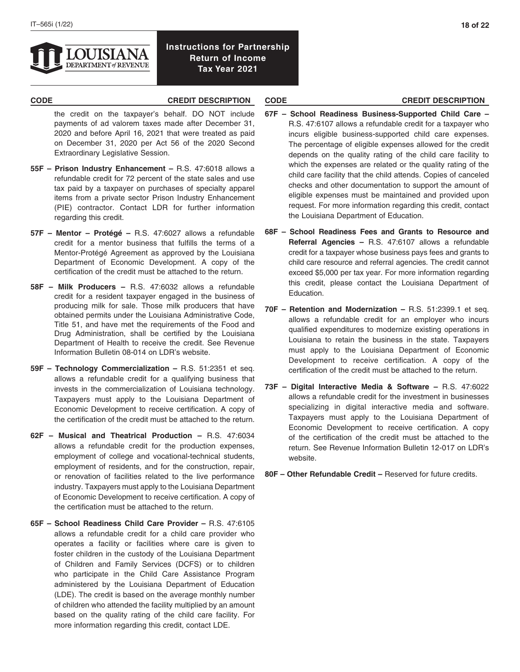

- the credit on the taxpayer's behalf. DO NOT include payments of ad valorem taxes made after December 31, 2020 and before April 16, 2021 that were treated as paid on December 31, 2020 per Act 56 of the 2020 Second Extraordinary Legislative Session.
- **55F Prison Industry Enhancement** R.S. 47:6018 allows a refundable credit for 72 percent of the state sales and use tax paid by a taxpayer on purchases of specialty apparel items from a private sector Prison Industry Enhancement (PIE) contractor. Contact LDR for further information regarding this credit.
- **57F Mentor Protégé** R.S. 47:6027 allows a refundable credit for a mentor business that fulfills the terms of a Mentor-Protégé Agreement as approved by the Louisiana Department of Economic Development. A copy of the certification of the credit must be attached to the return.
- **58F Milk Producers** R.S. 47:6032 allows a refundable credit for a resident taxpayer engaged in the business of producing milk for sale. Those milk producers that have obtained permits under the Louisiana Administrative Code, Title 51, and have met the requirements of the Food and Drug Administration, shall be certified by the Louisiana Department of Health to receive the credit. See Revenue Information Bulletin 08-014 on LDR's website.
- **59F Technology Commercialization** R.S. 51:2351 et seq. allows a refundable credit for a qualifying business that invests in the commercialization of Louisiana technology. Taxpayers must apply to the Louisiana Department of Economic Development to receive certification. A copy of the certification of the credit must be attached to the return.
- **62F Musical and Theatrical Production** R.S. 47:6034 allows a refundable credit for the production expenses, employment of college and vocational-technical students, employment of residents, and for the construction, repair, or renovation of facilities related to the live performance industry. Taxpayers must apply to the Louisiana Department of Economic Development to receive certification. A copy of the certification must be attached to the return.
- **65F School Readiness Child Care Provider** R.S. 47:6105 allows a refundable credit for a child care provider who operates a facility or facilities where care is given to foster children in the custody of the Louisiana Department of Children and Family Services (DCFS) or to children who participate in the Child Care Assistance Program administered by the Louisiana Department of Education (LDE). The credit is based on the average monthly number of children who attended the facility multiplied by an amount based on the quality rating of the child care facility. For more information regarding this credit, contact LDE.

## **CODE CREDIT DESCRIPTION CODE CREDIT DESCRIPTION**

- **67F School Readiness Business-Supported Child Care**  R.S. 47:6107 allows a refundable credit for a taxpayer who incurs eligible business-supported child care expenses. The percentage of eligible expenses allowed for the credit depends on the quality rating of the child care facility to which the expenses are related or the quality rating of the child care facility that the child attends. Copies of canceled checks and other documentation to support the amount of eligible expenses must be maintained and provided upon request. For more information regarding this credit, contact the Louisiana Department of Education.
- **68F School Readiness Fees and Grants to Resource and Referral Agencies –** R.S. 47:6107 allows a refundable credit for a taxpayer whose business pays fees and grants to child care resource and referral agencies. The credit cannot exceed \$5,000 per tax year. For more information regarding this credit, please contact the Louisiana Department of Education.
- **70F Retention and Modernization** R.S. 51:2399.1 et seq. allows a refundable credit for an employer who incurs qualified expenditures to modernize existing operations in Louisiana to retain the business in the state. Taxpayers must apply to the Louisiana Department of Economic Development to receive certification. A copy of the certification of the credit must be attached to the return.
- **73F Digital Interactive Media & Software** R.S. 47:6022 allows a refundable credit for the investment in businesses specializing in digital interactive media and software. Taxpayers must apply to the Louisiana Department of Economic Development to receive certification. A copy of the certification of the credit must be attached to the return. See Revenue Information Bulletin 12-017 on LDR's website.
- **80F Other Refundable Credit** Reserved for future credits.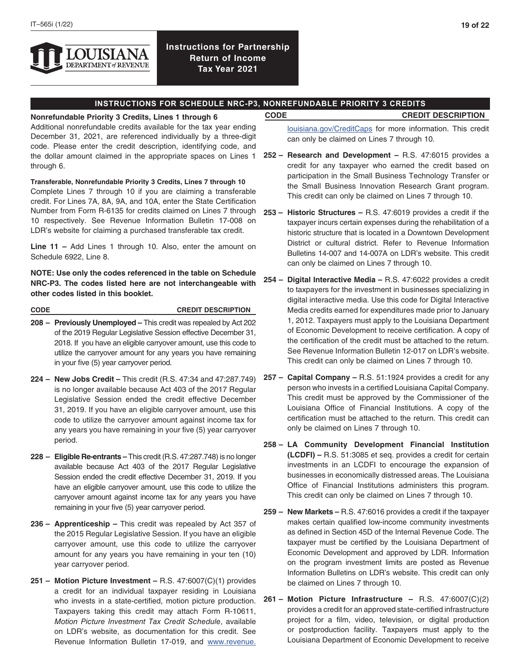

## **INSTRUCTIONS FOR SCHEDULE NRC-P3, NONREFUNDABLE PRIORITY 3 CREDITS**

**Nonrefundable Priority 3 Credits, Lines 1 through 6 CODE CREDIT DESCRIPTION** Additional nonrefundable credits available for the tax year ending December 31, 2021, are referenced individually by a three-digit code. Please enter the credit description, identifying code, and the dollar amount claimed in the appropriate spaces on Lines 1 through 6.

**Transferable, Nonrefundable Priority 3 Credits, Lines 7 through 10** Complete Lines 7 through 10 if you are claiming a transferable credit. For Lines 7A, 8A, 9A, and 10A, enter the State Certification Number from Form R-6135 for credits claimed on Lines 7 through **253 – Historic Structures –** R.S. 47:6019 provides a credit if the 10 respectively. See Revenue Information Bulletin 17-008 on LDR's website for claiming a purchased transferable tax credit.

**Line 11 –** Add Lines 1 through 10. Also, enter the amount on Schedule 6922, Line 8.

**NOTE: Use only the codes referenced in the table on Schedule NRC-P3. The codes listed here are not interchangeable with other codes listed in this booklet.**

**CODE CREDIT DESCRIPTION**

- **208 Previously Unemployed** This credit was repealed by Act 202 of the 2019 Regular Legislative Session effective December 31, 2018. If you have an eligible carryover amount, use this code to utilize the carryover amount for any years you have remaining in your five (5) year carryover period.
- **224 New Jobs Credit** This credit (R.S. 47:34 and 47:287.749) is no longer available because Act 403 of the 2017 Regular Legislative Session ended the credit effective December 31, 2019. If you have an eligible carryover amount, use this code to utilize the carryover amount against income tax for any years you have remaining in your five (5) year carryover period.
- **228 Eligible Re-entrants** This credit (R.S. 47:287.748) is no longer available because Act 403 of the 2017 Regular Legislative Session ended the credit effective December 31, 2019. If you have an eligible carryover amount, use this code to utilize the carryover amount against income tax for any years you have remaining in your five (5) year carryover period.
- **236 Apprenticeship** This credit was repealed by Act 357 of the 2015 Regular Legislative Session. If you have an eligible carryover amount, use this code to utilize the carryover amount for any years you have remaining in your ten (10) year carryover period.
- **251 Motion Picture Investment –** R.S. 47:6007(C)(1) provides a credit for an individual taxpayer residing in Louisiana who invests in a state-certified, motion picture production. Taxpayers taking this credit may attach Form R-10611, *Motion Picture Investment Tax Credit Schedule*, available on LDR's website, as documentation for this credit. See Revenue Information Bulletin 17-019, and [www.revenue.](http://www.revenue.louisiana.gov/CreditCaps)

[louisiana.gov/CreditCaps](http://www.revenue.louisiana.gov/CreditCaps) for more information. This credit can only be claimed on Lines 7 through 10.

- **252 Research and Development –** R.S. 47:6015 provides a credit for any taxpayer who earned the credit based on participation in the Small Business Technology Transfer or the Small Business Innovation Research Grant program. This credit can only be claimed on Lines 7 through 10.
- taxpayer incurs certain expenses during the rehabilitation of a historic structure that is located in a Downtown Development District or cultural district. Refer to Revenue Information Bulletins 14-007 and 14-007A on LDR's website. This credit can only be claimed on Lines 7 through 10.
- **254 Digital Interactive Media** R.S. 47:6022 provides a credit to taxpayers for the investment in businesses specializing in digital interactive media. Use this code for Digital Interactive Media credits earned for expenditures made prior to January 1, 2012. Taxpayers must apply to the Louisiana Department of Economic Development to receive certification. A copy of the certification of the credit must be attached to the return. See Revenue Information Bulletin 12-017 on LDR's website. This credit can only be claimed on Lines 7 through 10.
- **257 Capital Company** R.S. 51:1924 provides a credit for any person who invests in a certified Louisiana Capital Company. This credit must be approved by the Commissioner of the Louisiana Office of Financial Institutions. A copy of the certification must be attached to the return. This credit can only be claimed on Lines 7 through 10.
- **258 LA Community Development Financial Institution (LCDFI) –** R.S. 51:3085 et seq. provides a credit for certain investments in an LCDFI to encourage the expansion of businesses in economically distressed areas. The Louisiana Office of Financial Institutions administers this program. This credit can only be claimed on Lines 7 through 10.
- **259 New Markets** R.S. 47:6016 provides a credit if the taxpayer makes certain qualified low-income community investments as defined in Section 45D of the Internal Revenue Code. The taxpayer must be certified by the Louisiana Department of Economic Development and approved by LDR. Information on the program investment limits are posted as Revenue Information Bulletins on LDR's website. This credit can only be claimed on Lines 7 through 10.
- **261 – Motion Picture Infrastructure** R.S. 47:6007(C)(2) provides a credit for an approved state-certified infrastructure project for a film, video, television, or digital production or postproduction facility. Taxpayers must apply to the Louisiana Department of Economic Development to receive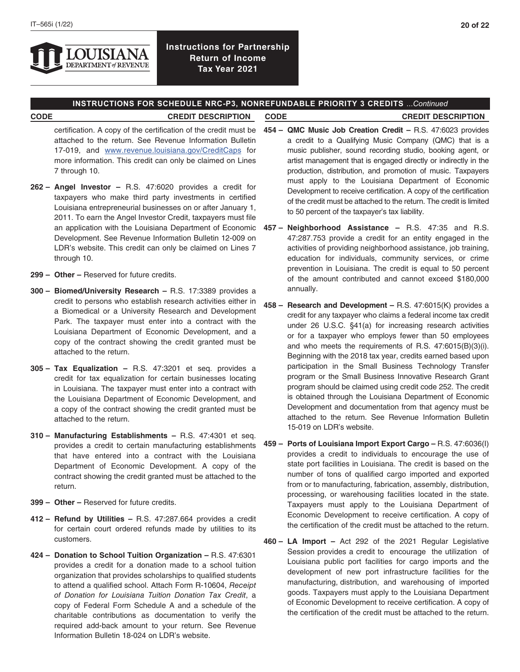

## **INSTRUCTIONS FOR SCHEDULE NRC-P3, NONREFUNDABLE PRIORITY 3 CREDITS** ...*Continued*

### **CODE CREDIT DESCRIPTION CODE CREDIT DESCRIPTION**

- certification. A copy of the certification of the credit must be attached to the return. See Revenue Information Bulletin 17-019, and [www.revenue.louisiana.gov/CreditCaps](http://www.revenue.louisiana.gov/CreditCaps) for more information. This credit can only be claimed on Lines 7 through 10.
- **262 Angel Investor** R.S. 47:6020 provides a credit for taxpayers who make third party investments in certified Louisiana entrepreneurial businesses on or after January 1, 2011. To earn the Angel Investor Credit, taxpayers must file Development. See Revenue Information Bulletin 12-009 on LDR's website. This credit can only be claimed on Lines 7 through 10.
- **299 Other** Reserved for future credits.
- **300 Biomed/University Research** R.S. 17:3389 provides a credit to persons who establish research activities either in a Biomedical or a University Research and Development Park. The taxpayer must enter into a contract with the Louisiana Department of Economic Development, and a copy of the contract showing the credit granted must be attached to the return.
- **305 Tax Equalization** R.S. 47:3201 et seq. provides a credit for tax equalization for certain businesses locating in Louisiana. The taxpayer must enter into a contract with the Louisiana Department of Economic Development, and a copy of the contract showing the credit granted must be attached to the return.
- **310 Manufacturing Establishments** R.S. 47:4301 et seq. provides a credit to certain manufacturing establishments that have entered into a contract with the Louisiana Department of Economic Development. A copy of the contract showing the credit granted must be attached to the return.
- **399 Other** Reserved for future credits.
- **412 Refund by Utilities** R.S. 47:287.664 provides a credit for certain court ordered refunds made by utilities to its customers.
- **424 – Donation to School Tuition Organization** R.S. 47:6301 provides a credit for a donation made to a school tuition organization that provides scholarships to qualified students to attend a qualified school. Attach Form R-10604, *Receipt of Donation for Louisiana Tuition Donation Tax Credit*, a copy of Federal Form Schedule A and a schedule of the charitable contributions as documentation to verify the required add-back amount to your return. See Revenue Information Bulletin 18-024 on LDR's website.
- **454 QMC Music Job Creation Credit** R.S. 47:6023 provides a credit to a Qualifying Music Company (QMC) that is a music publisher, sound recording studio, booking agent, or artist management that is engaged directly or indirectly in the production, distribution, and promotion of music. Taxpayers must apply to the Louisiana Department of Economic Development to receive certification. A copy of the certification of the credit must be attached to the return. The credit is limited to 50 percent of the taxpayer's tax liability.
- an application with the Louisiana Department of Economic **457 Neighborhood Assistance** R.S. 47:35 and R.S. 47:287.753 provide a credit for an entity engaged in the activities of providing neighborhood assistance, job training, education for individuals, community services, or crime prevention in Louisiana. The credit is equal to 50 percent of the amount contributed and cannot exceed \$180,000 annually.
	- **458 – Research and Development** R.S. 47:6015(K) provides a credit for any taxpayer who claims a federal income tax credit under 26 U.S.C. §41(a) for increasing research activities or for a taxpayer who employs fewer than 50 employees and who meets the requirements of R.S. 47:6015(B)(3)(i). Beginning with the 2018 tax year, credits earned based upon participation in the Small Business Technology Transfer program or the Small Business Innovative Research Grant program should be claimed using credit code 252. The credit is obtained through the Louisiana Department of Economic Development and documentation from that agency must be attached to the return. See Revenue Information Bulletin 15-019 on LDR's website.
	- **459 Ports of Louisiana Import Export Cargo** R.S. 47:6036(I) provides a credit to individuals to encourage the use of state port facilities in Louisiana. The credit is based on the number of tons of qualified cargo imported and exported from or to manufacturing, fabrication, assembly, distribution, processing, or warehousing facilities located in the state. Taxpayers must apply to the Louisiana Department of Economic Development to receive certification. A copy of the certification of the credit must be attached to the return.
	- **460 – LA Import –** Act 292 of the 2021 Regular Legislative Session provides a credit to encourage the utilization of Louisiana public port facilities for cargo imports and the development of new port infrastructure facilities for the manufacturing, distribution, and warehousing of imported goods. Taxpayers must apply to the Louisiana Department of Economic Development to receive certification. A copy of the certification of the credit must be attached to the return.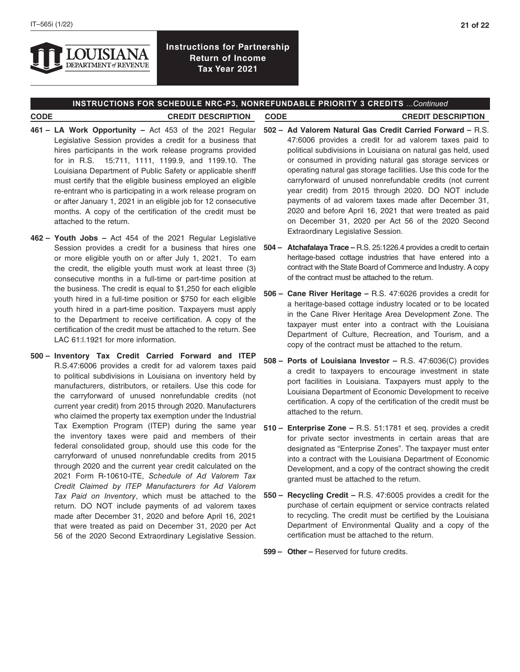

## **INSTRUCTIONS FOR SCHEDULE NRC-P3, NONREFUNDABLE PRIORITY 3 CREDITS** ...*Continued*

# **CODE CREDIT DESCRIPTION CODE CREDIT DESCRIPTION**

- **461 – LA Work Opportunity –** Act 453 of the 2021 Regular Legislative Session provides a credit for a business that hires participants in the work release programs provided for in R.S. 15:711, 1111, 1199.9, and 1199.10. The Louisiana Department of Public Safety or applicable sheriff must certify that the eligible business employed an eligible re-entrant who is participating in a work release program on or after January 1, 2021 in an eligible job for 12 consecutive months. A copy of the certification of the credit must be attached to the return.
- **462 – Youth Jobs –** Act 454 of the 2021 Regular Legislative Session provides a credit for a business that hires one or more eligible youth on or after July 1, 2021. To earn the credit, the eligible youth must work at least three (3) consecutive months in a full-time or part-time position at the business. The credit is equal to \$1,250 for each eligible youth hired in a full-time position or \$750 for each eligible youth hired in a part-time position. Taxpayers must apply to the Department to receive certification. A copy of the certification of the credit must be attached to the return. See LAC 61:l.1921 for more information.
- **500 Inventory Tax Credit Carried Forward and ITEP**  R.S.47:6006 provides a credit for ad valorem taxes paid to political subdivisions in Louisiana on inventory held by manufacturers, distributors, or retailers. Use this code for the carryforward of unused nonrefundable credits (not current year credit) from 2015 through 2020. Manufacturers who claimed the property tax exemption under the Industrial Tax Exemption Program (ITEP) during the same year the inventory taxes were paid and members of their federal consolidated group, should use this code for the carryforward of unused nonrefundable credits from 2015 through 2020 and the current year credit calculated on the 2021 Form R-10610-ITE, *Schedule of Ad Valorem Tax Credit Claimed by ITEP Manufacturers for Ad Valorem Tax Paid on Inventory*, which must be attached to the return. DO NOT include payments of ad valorem taxes made after December 31, 2020 and before April 16, 2021 that were treated as paid on December 31, 2020 per Act 56 of the 2020 Second Extraordinary Legislative Session.
- **502 Ad Valorem Natural Gas Credit Carried Forward** R.S. 47:6006 provides a credit for ad valorem taxes paid to political subdivisions in Louisiana on natural gas held, used or consumed in providing natural gas storage services or operating natural gas storage facilities. Use this code for the carryforward of unused nonrefundable credits (not current year credit) from 2015 through 2020. DO NOT include payments of ad valorem taxes made after December 31, 2020 and before April 16, 2021 that were treated as paid on December 31, 2020 per Act 56 of the 2020 Second Extraordinary Legislative Session.
- **504 Atchafalaya Trace** R.S. 25:1226.4 provides a credit to certain heritage-based cottage industries that have entered into a contract with the State Board of Commerce and Industry. A copy of the contract must be attached to the return.
- **506 Cane River Heritage** R.S. 47:6026 provides a credit for a heritage-based cottage industry located or to be located in the Cane River Heritage Area Development Zone. The taxpayer must enter into a contract with the Louisiana Department of Culture, Recreation, and Tourism, and a copy of the contract must be attached to the return.
- **508 Ports of Louisiana Investor** R.S. 47:6036(C) provides a credit to taxpayers to encourage investment in state port facilities in Louisiana. Taxpayers must apply to the Louisiana Department of Economic Development to receive certification. A copy of the certification of the credit must be attached to the return.
- **510 Enterprise Zone** R.S. 51:1781 et seq. provides a credit for private sector investments in certain areas that are designated as "Enterprise Zones". The taxpayer must enter into a contract with the Louisiana Department of Economic Development, and a copy of the contract showing the credit granted must be attached to the return.
- **550 Recycling Credit** R.S. 47:6005 provides a credit for the purchase of certain equipment or service contracts related to recycling. The credit must be certified by the Louisiana Department of Environmental Quality and a copy of the certification must be attached to the return.
- **599 Other –** Reserved for future credits.